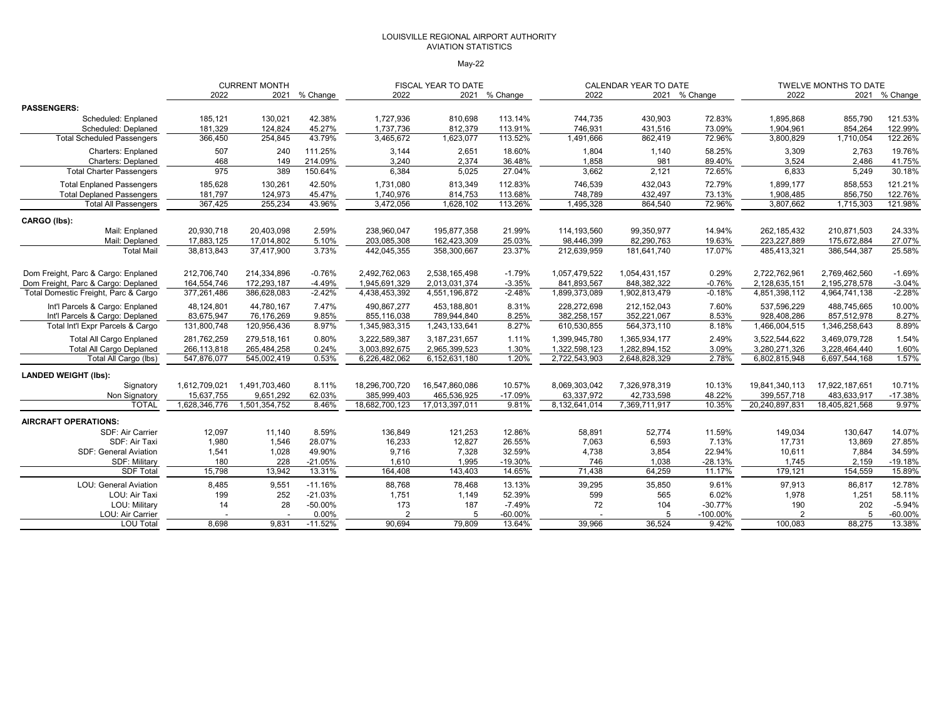#### LOUISVILLE REGIONAL AIRPORT AUTHORITY AVIATION STATISTICS

#### May-22

|                                      |               | <b>CURRENT MONTH</b> |           |                | FISCAL YEAR TO DATE |               |               | <b>CALENDAR YEAR TO DATE</b> |               |                | TWELVE MONTHS TO DATE |               |
|--------------------------------------|---------------|----------------------|-----------|----------------|---------------------|---------------|---------------|------------------------------|---------------|----------------|-----------------------|---------------|
|                                      | 2022          | 2021                 | % Change  | 2022           |                     | 2021 % Change | 2022          |                              | 2021 % Change | 2022           |                       | 2021 % Change |
| <b>PASSENGERS:</b>                   |               |                      |           |                |                     |               |               |                              |               |                |                       |               |
| Scheduled: Enplaned                  | 185,121       | 130,021              | 42.38%    | 1,727,936      | 810,698             | 113.14%       | 744,735       | 430,903                      | 72.83%        | 1,895,868      | 855,790               | 121.53%       |
| Scheduled: Deplaned                  | 181,329       | 124.824              | 45.27%    | 1,737,736      | 812.379             | 113.91%       | 746,931       | 431,516                      | 73.09%        | 1,904,961      | 854.264               | 122.99%       |
| <b>Total Scheduled Passengers</b>    | 366,450       | 254,845              | 43.79%    | 3,465,672      | 1,623,077           | 113.52%       | 1,491,666     | 862,419                      | 72.96%        | 3,800,829      | 1,710,054             | 122.26%       |
| <b>Charters: Enplaned</b>            | 507           | 240                  | 111.25%   | 3,144          | 2,651               | 18.60%        | 1,804         | 1,140                        | 58.25%        | 3,309          | 2,763                 | 19.76%        |
| <b>Charters: Deplaned</b>            | 468           | 149                  | 214.09%   | 3,240          | 2,374               | 36.48%        | 1,858         | 981                          | 89.40%        | 3,524          | 2,486                 | 41.75%        |
| <b>Total Charter Passengers</b>      | 975           | 389                  | 150.64%   | 6,384          | 5,025               | 27.04%        | 3,662         | 2,121                        | 72.65%        | 6,833          | 5,249                 | 30.18%        |
| <b>Total Enplaned Passengers</b>     | 185,628       | 130,261              | 42.50%    | 1,731,080      | 813,349             | 112.83%       | 746,539       | 432,043                      | 72.79%        | 1,899,177      | 858,553               | 121.21%       |
| <b>Total Deplaned Passengers</b>     | 181,797       | 124,973              | 45.47%    | 1,740,976      | 814,753             | 113.68%       | 748,789       | 432,497                      | 73.13%        | 1,908,485      | 856,750               | 122.76%       |
| <b>Total All Passengers</b>          | 367,425       | 255,234              | 43.96%    | 3,472,056      | 1,628,102           | 113.26%       | 1,495,328     | 864,540                      | 72.96%        | 3,807,662      | 1,715,303             | 121.98%       |
| CARGO (lbs):                         |               |                      |           |                |                     |               |               |                              |               |                |                       |               |
| Mail: Enplaned                       | 20,930,718    | 20,403,098           | 2.59%     | 238,960,047    | 195,877,358         | 21.99%        | 114,193,560   | 99,350,977                   | 14.94%        | 262,185,432    | 210,871,503           | 24.33%        |
| Mail: Deplaned                       | 17,883,125    | 17,014,802           | 5.10%     | 203,085,308    | 162,423,309         | 25.03%        | 98,446,399    | 82,290,763                   | 19.63%        | 223,227,889    | 175,672,884           | 27.07%        |
| <b>Total Mail</b>                    | 38,813,843    | 37,417,900           | 3.73%     | 442,045,355    | 358,300,667         | 23.37%        | 212,639,959   | 181,641,740                  | 17.07%        | 485,413,321    | 386,544,387           | 25.58%        |
| Dom Freight, Parc & Cargo: Enplaned  | 212,706,740   | 214,334,896          | $-0.76%$  | 2,492,762,063  | 2,538,165,498       | $-1.79%$      | 1,057,479,522 | 1,054,431,157                | 0.29%         | 2,722,762,961  | 2,769,462,560         | $-1.69%$      |
| Dom Freight, Parc & Cargo: Deplaned  | 164,554,746   | 172,293,187          | $-4.49%$  | 1,945,691,329  | 2,013,031,374       | $-3.35%$      | 841,893,567   | 848,382,322                  | $-0.76%$      | 2,128,635,151  | 2,195,278,578         | $-3.04%$      |
| Total Domestic Freight, Parc & Cargo | 377,261,486   | 386,628,083          | $-2.42%$  | 4,438,453,392  | 4,551,196,872       | $-2.48%$      | 1,899,373,089 | 1,902,813,479                | $-0.18%$      | 4,851,398,112  | 4,964,741,138         | $-2.28%$      |
| Int'l Parcels & Cargo: Enplaned      | 48,124,801    | 44,780,167           | 7.47%     | 490.867.277    | 453.188.801         | 8.31%         | 228,272,698   | 212, 152, 043                | 7.60%         | 537.596.229    | 488,745,665           | 10.00%        |
| Int'l Parcels & Cargo: Deplaned      | 83,675,947    | 76,176,269           | 9.85%     | 855,116,038    | 789.944.840         | 8.25%         | 382,258,157   | 352,221,067                  | 8.53%         | 928,408,286    | 857,512,978           | 8.27%         |
| Total Int'l Expr Parcels & Cargo     | 131,800,748   | 120,956,436          | 8.97%     | 1,345,983,315  | 1,243,133,641       | 8.27%         | 610,530,855   | 564,373,110                  | 8.18%         | 1,466,004,515  | 1,346,258,643         | 8.89%         |
| <b>Total All Cargo Enplaned</b>      | 281,762,259   | 279,518,161          | 0.80%     | 3,222,589,387  | 3, 187, 231, 657    | 1.11%         | 1,399,945,780 | 1,365,934,177                | 2.49%         | 3,522,544,622  | 3,469,079,728         | 1.54%         |
| <b>Total All Cargo Deplaned</b>      | 266,113,818   | 265,484,258          | 0.24%     | 3,003,892,675  | 2,965,399,523       | 1.30%         | 1,322,598,123 | 1,282,894,152                | 3.09%         | 3,280,271,326  | 3,228,464,440         | 1.60%         |
| Total All Cargo (lbs)                | 547,876,077   | 545,002,419          | 0.53%     | 6,226,482,062  | 6,152,631,180       | 1.20%         | 2,722,543,903 | 2,648,828,329                | 2.78%         | 6,802,815,948  | 6,697,544,168         | 1.57%         |
| <b>LANDED WEIGHT (lbs):</b>          |               |                      |           |                |                     |               |               |                              |               |                |                       |               |
| Signatory                            | 1,612,709,021 | 1,491,703,460        | 8.11%     | 18,296,700,720 | 16,547,860,086      | 10.57%        | 8,069,303,042 | 7,326,978,319                | 10.13%        | 19,841,340,113 | 17,922,187,651        | 10.71%        |
| Non Signatory                        | 15,637,755    | 9,651,292            | 62.03%    | 385,999,403    | 465,536,925         | $-17.09%$     | 63,337,972    | 42,733,598                   | 48.22%        | 399,557,718    | 483,633,917           | $-17.38%$     |
| <b>TOTAL</b>                         | 1,628,346,776 | 1,501,354,752        | 8.46%     | 18,682,700,123 | 17,013,397,011      | 9.81%         | 8,132,641,014 | 7,369,711,917                | 10.35%        | 20,240,897,831 | 18,405,821,568        | 9.97%         |
| <b>AIRCRAFT OPERATIONS:</b>          |               |                      |           |                |                     |               |               |                              |               |                |                       |               |
| SDF: Air Carrier                     | 12,097        | 11,140               | 8.59%     | 136,849        | 121,253             | 12.86%        | 58,891        | 52,774                       | 11.59%        | 149,034        | 130,647               | 14.07%        |
| SDF: Air Taxi                        | 1,980         | 1,546                | 28.07%    | 16,233         | 12,827              | 26.55%        | 7.063         | 6,593                        | 7.13%         | 17,731         | 13.869                | 27.85%        |
| <b>SDF: General Aviation</b>         | 1,541         | 1,028                | 49.90%    | 9,716          | 7,328               | 32.59%        | 4,738         | 3,854                        | 22.94%        | 10,611         | 7,884                 | 34.59%        |
| SDF: Military                        | 180           | 228                  | $-21.05%$ | 1.610          | 1,995               | $-19.30%$     | 746           | 1.038                        | $-28.13%$     | 1.745          | 2.159                 | $-19.18%$     |
| <b>SDF Total</b>                     | 15,798        | 13,942               | 13.31%    | 164,408        | 143,403             | 14.65%        | 71,438        | 64,259                       | 11.17%        | 179,121        | 154,559               | 15.89%        |
| <b>LOU: General Aviation</b>         | 8,485         | 9,551                | $-11.16%$ | 88,768         | 78,468              | 13.13%        | 39,295        | 35,850                       | 9.61%         | 97,913         | 86,817                | 12.78%        |
| LOU: Air Taxi                        | 199           | 252                  | $-21.03%$ | 1,751          | 1,149               | 52.39%        | 599           | 565                          | 6.02%         | 1,978          | 1,251                 | 58.11%        |
| LOU: Military                        | 14            | 28                   | $-50.00%$ | 173            | 187                 | $-7.49%$      | 72            | 104                          | $-30.77%$     | 190            | 202                   | $-5.94%$      |
| LOU: Air Carrier                     |               |                      | 0.00%     |                | 5                   | $-60.00\%$    |               |                              | $-100.00\%$   | $\overline{2}$ |                       | $-60.00%$     |
| <b>LOU Total</b>                     | 8,698         | 9.831                | $-11.52%$ | 90.694         | 79.809              | 13.64%        | 39.966        | 36.524                       | 9.42%         | 100,083        | 88.275                | 13.38%        |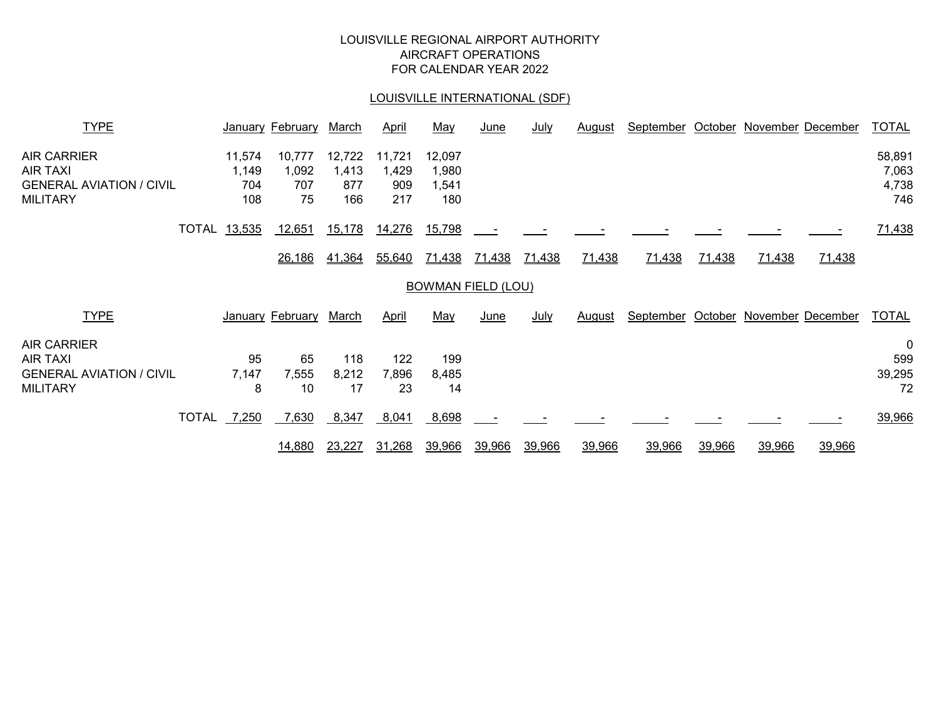# LOUISVILLE REGIONAL AIRPORT AUTHORITY AIRCRAFT OPERATIONS FOR CALENDAR YEAR 2022

# LOUISVILLE INTERNATIONAL (SDF)

| <b>TYPE</b>                                                                                 |                               | <b>January February</b>      | <u>March</u>                  | <u>April</u>                  | <u>May</u>                      | <u>June</u>               | <u>July</u> | <u>August</u> | September | <u>October</u> |        | <b>November December</b>  | <b>TOTAL</b>                    |
|---------------------------------------------------------------------------------------------|-------------------------------|------------------------------|-------------------------------|-------------------------------|---------------------------------|---------------------------|-------------|---------------|-----------|----------------|--------|---------------------------|---------------------------------|
| <b>AIR CARRIER</b><br><b>AIR TAXI</b><br><b>GENERAL AVIATION / CIVIL</b><br><b>MILITARY</b> | 11,574<br>1,149<br>704<br>108 | 10,777<br>1,092<br>707<br>75 | 12,722<br>1,413<br>877<br>166 | 11,721<br>1,429<br>909<br>217 | 12,097<br>1,980<br>1,541<br>180 |                           |             |               |           |                |        |                           | 58,891<br>7,063<br>4,738<br>746 |
| TOTAL                                                                                       | 13,535                        | 12,651                       | 15,178                        | 14,276                        | 15,798                          |                           |             |               |           |                |        |                           | 71,438                          |
|                                                                                             |                               | 26,186                       | 41,364                        | 55,640                        | <u>71,438</u>                   | <u>71,438</u>             | 71,438      | 71,438        | 71,438    | 71,438         | 71,438 | 71,438                    |                                 |
|                                                                                             |                               |                              |                               |                               |                                 | <b>BOWMAN FIELD (LOU)</b> |             |               |           |                |        |                           |                                 |
| <b>TYPE</b>                                                                                 |                               | January February             | March                         | April                         | May                             | June                      | July        | August        | September |                |        | October November December | <b>TOTAL</b>                    |
| <b>AIR CARRIER</b><br><b>AIR TAXI</b><br><b>GENERAL AVIATION / CIVIL</b><br><b>MILITARY</b> | 95<br>7,147<br>8              | 65<br>7,555<br>10            | 118<br>8,212<br>17            | 122<br>7,896<br>23            | 199<br>8,485<br>14              |                           |             |               |           |                |        |                           | 0<br>599<br>39,295<br>72        |
| <b>TOTAL</b>                                                                                | 7,250                         | 7,630                        | 8,347                         | 8,041                         | 8,698                           |                           |             |               |           |                |        |                           | 39,966                          |
|                                                                                             |                               | <u>14,880</u>                | 23,227                        | 31,268                        | 39,966                          | 39,966                    | 39,966      | 39,966        | 39,966    | 39,966         | 39,966 | 39,966                    |                                 |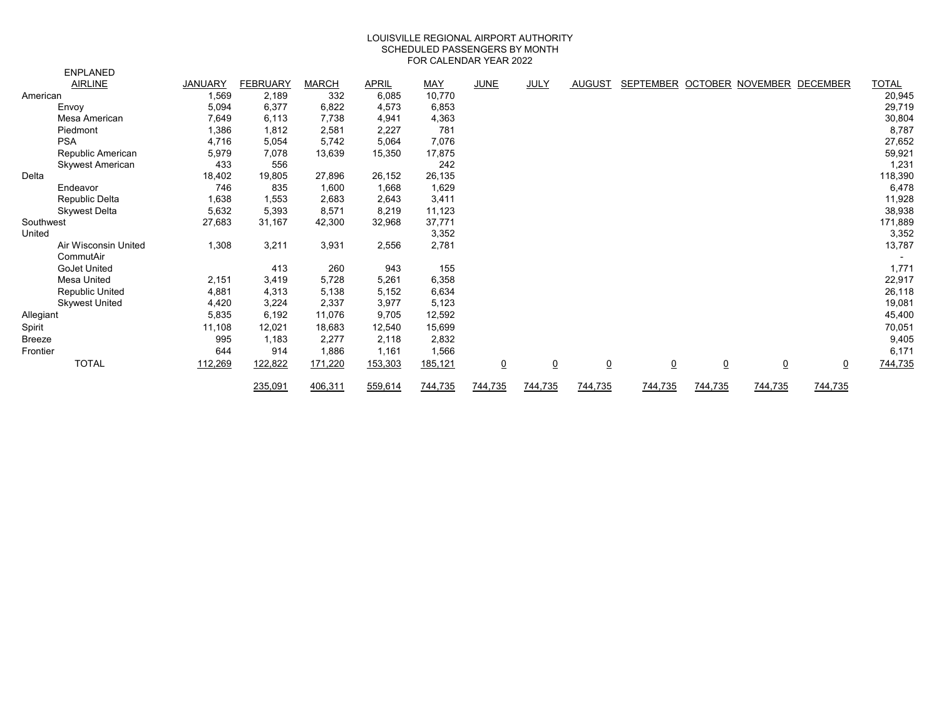#### LOUISVILLE REGIONAL AIRPORT AUTHORITY SCHEDULED PASSENGERS BY MONTH FOR CALENDAR YEAR 2022

|               | <b>ENPLANED</b>                   |                |                 |              |              |         |                |                |                 |                                     |                |                 |                |              |
|---------------|-----------------------------------|----------------|-----------------|--------------|--------------|---------|----------------|----------------|-----------------|-------------------------------------|----------------|-----------------|----------------|--------------|
|               | <b>AIRLINE</b>                    | <b>JANUARY</b> | <b>FEBRUARY</b> | <b>MARCH</b> | <b>APRIL</b> | MAY     | <b>JUNE</b>    | JULY           | <b>AUGUST</b>   | SEPTEMBER OCTOBER NOVEMBER DECEMBER |                |                 |                | <b>TOTAL</b> |
| American      |                                   | 1,569          | 2,189           | 332          | 6,085        | 10,770  |                |                |                 |                                     |                |                 |                | 20,945       |
|               | Envoy                             | 5,094          | 6,377           | 6,822        | 4,573        | 6,853   |                |                |                 |                                     |                |                 |                | 29,719       |
|               | Mesa American                     | 7,649          | 6,113           | 7,738        | 4,941        | 4,363   |                |                |                 |                                     |                |                 |                | 30,804       |
|               | Piedmont                          | 1,386          | 1,812           | 2,581        | 2,227        | 781     |                |                |                 |                                     |                |                 |                | 8,787        |
|               | <b>PSA</b>                        | 4,716          | 5,054           | 5,742        | 5,064        | 7,076   |                |                |                 |                                     |                |                 |                | 27,652       |
|               | Republic American                 | 5,979          | 7,078           | 13,639       | 15,350       | 17,875  |                |                |                 |                                     |                |                 |                | 59,921       |
|               | Skywest American                  | 433            | 556             |              |              | 242     |                |                |                 |                                     |                |                 |                | 1,231        |
| Delta         |                                   | 18,402         | 19,805          | 27,896       | 26,152       | 26,135  |                |                |                 |                                     |                |                 |                | 118,390      |
|               | Endeavor                          | 746            | 835             | 1,600        | 1,668        | 1,629   |                |                |                 |                                     |                |                 |                | 6,478        |
|               | Republic Delta                    | 1,638          | 1,553           | 2,683        | 2,643        | 3,411   |                |                |                 |                                     |                |                 |                | 11,928       |
|               | <b>Skywest Delta</b>              | 5,632          | 5,393           | 8,571        | 8,219        | 11,123  |                |                |                 |                                     |                |                 |                | 38,938       |
| Southwest     |                                   | 27,683         | 31,167          | 42,300       | 32,968       | 37,771  |                |                |                 |                                     |                |                 |                | 171,889      |
| United        |                                   |                |                 |              |              | 3,352   |                |                |                 |                                     |                |                 |                | 3,352        |
|               | Air Wisconsin United<br>CommutAir | 1,308          | 3,211           | 3,931        | 2,556        | 2,781   |                |                |                 |                                     |                |                 |                | 13,787       |
|               | <b>GoJet United</b>               |                | 413             | 260          | 943          | 155     |                |                |                 |                                     |                |                 |                | 1,771        |
|               | <b>Mesa United</b>                | 2,151          | 3,419           | 5,728        | 5,261        | 6,358   |                |                |                 |                                     |                |                 |                | 22,917       |
|               | <b>Republic United</b>            | 4,881          | 4,313           | 5,138        | 5,152        | 6,634   |                |                |                 |                                     |                |                 |                | 26,118       |
|               | <b>Skywest United</b>             | 4,420          | 3,224           | 2,337        | 3,977        | 5,123   |                |                |                 |                                     |                |                 |                | 19,081       |
| Allegiant     |                                   | 5,835          | 6,192           | 11,076       | 9,705        | 12,592  |                |                |                 |                                     |                |                 |                | 45,400       |
| Spirit        |                                   | 11,108         | 12,021          | 18,683       | 12,540       | 15,699  |                |                |                 |                                     |                |                 |                | 70,051       |
| <b>Breeze</b> |                                   | 995            | 1,183           | 2,277        | 2,118        | 2,832   |                |                |                 |                                     |                |                 |                | 9,405        |
| Frontier      |                                   | 644            | 914             | 1,886        | 1,161        | 1,566   |                |                |                 |                                     |                |                 |                | 6,171        |
|               | <b>TOTAL</b>                      | 112,269        | 122,822         | 171,220      | 153,303      | 185,121 | $\overline{0}$ | $\overline{0}$ | $\underline{0}$ | $\overline{0}$                      | $\overline{0}$ | $\underline{0}$ | $\overline{0}$ | 744,735      |
|               |                                   |                | 235,091         | 406,311      | 559,614      | 744,735 | 744,735        | 744,735        | 744,735         | 744,735                             | 744,735        | 744,735         | 744,735        |              |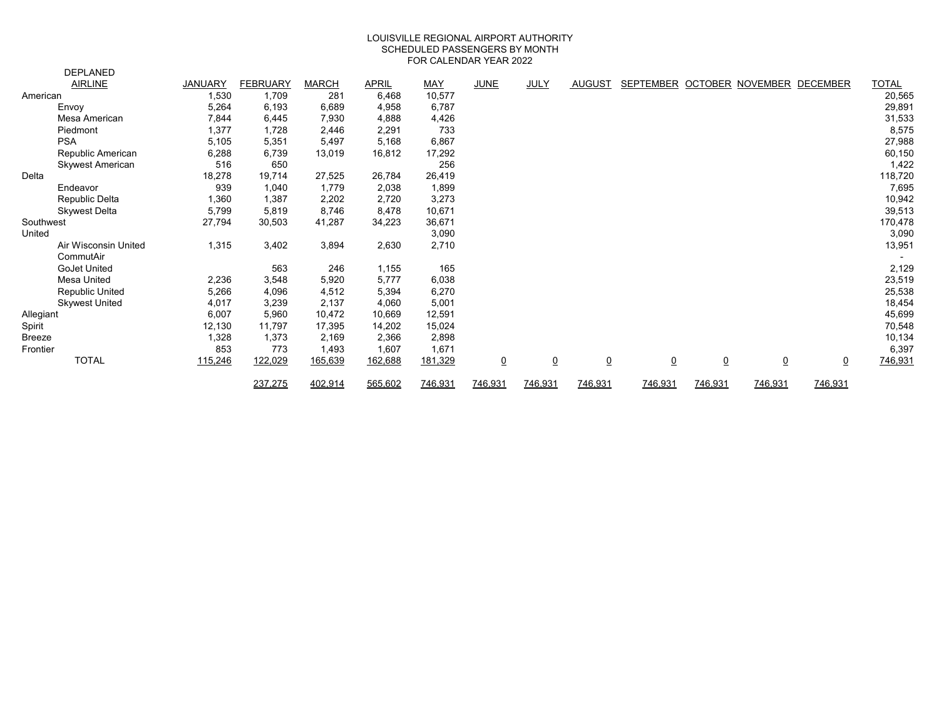#### FOR CALENDAR YEAR 2022 LOUISVILLE REGIONAL AIRPORT AUTHORITY SCHEDULED PASSENGERS BY MONTH

|               | <b>DEPLANED</b>         |                |                 |              |              |            |                |                |                |                                     |                |                |                |              |
|---------------|-------------------------|----------------|-----------------|--------------|--------------|------------|----------------|----------------|----------------|-------------------------------------|----------------|----------------|----------------|--------------|
|               | <b>AIRLINE</b>          | <b>JANUARY</b> | <b>FEBRUARY</b> | <b>MARCH</b> | <b>APRIL</b> | <b>MAY</b> | <b>JUNE</b>    | <b>JULY</b>    | AUGUST         | SEPTEMBER OCTOBER NOVEMBER DECEMBER |                |                |                | <b>TOTAL</b> |
| American      |                         | 1,530          | 1,709           | 281          | 6,468        | 10,577     |                |                |                |                                     |                |                |                | 20,565       |
|               | Envoy                   | 5,264          | 6,193           | 6,689        | 4,958        | 6,787      |                |                |                |                                     |                |                |                | 29,891       |
|               | Mesa American           | 7,844          | 6,445           | 7,930        | 4,888        | 4,426      |                |                |                |                                     |                |                |                | 31,533       |
|               | Piedmont                | 1,377          | 1,728           | 2,446        | 2,291        | 733        |                |                |                |                                     |                |                |                | 8,575        |
|               | <b>PSA</b>              | 5,105          | 5,351           | 5,497        | 5,168        | 6,867      |                |                |                |                                     |                |                |                | 27,988       |
|               | Republic American       | 6,288          | 6,739           | 13,019       | 16,812       | 17,292     |                |                |                |                                     |                |                |                | 60,150       |
|               | <b>Skywest American</b> | 516            | 650             |              |              | 256        |                |                |                |                                     |                |                |                | 1,422        |
| Delta         |                         | 18,278         | 19,714          | 27,525       | 26,784       | 26,419     |                |                |                |                                     |                |                |                | 118,720      |
|               | Endeavor                | 939            | 1,040           | 1,779        | 2,038        | 1,899      |                |                |                |                                     |                |                |                | 7,695        |
|               | Republic Delta          | 1,360          | 1,387           | 2,202        | 2,720        | 3,273      |                |                |                |                                     |                |                |                | 10,942       |
|               | <b>Skywest Delta</b>    | 5,799          | 5,819           | 8,746        | 8,478        | 10,671     |                |                |                |                                     |                |                |                | 39,513       |
| Southwest     |                         | 27,794         | 30,503          | 41,287       | 34,223       | 36,671     |                |                |                |                                     |                |                |                | 170,478      |
| United        |                         |                |                 |              |              | 3,090      |                |                |                |                                     |                |                |                | 3,090        |
|               | Air Wisconsin United    | 1,315          | 3,402           | 3,894        | 2,630        | 2,710      |                |                |                |                                     |                |                |                | 13,951       |
|               | CommutAir               |                |                 |              |              |            |                |                |                |                                     |                |                |                |              |
|               | <b>GoJet United</b>     |                | 563             | 246          | 1,155        | 165        |                |                |                |                                     |                |                |                | 2,129        |
|               | <b>Mesa United</b>      | 2,236          | 3,548           | 5,920        | 5,777        | 6,038      |                |                |                |                                     |                |                |                | 23,519       |
|               | <b>Republic United</b>  | 5,266          | 4,096           | 4,512        | 5,394        | 6,270      |                |                |                |                                     |                |                |                | 25,538       |
|               | <b>Skywest United</b>   | 4,017          | 3,239           | 2,137        | 4,060        | 5,001      |                |                |                |                                     |                |                |                | 18,454       |
| Allegiant     |                         | 6,007          | 5,960           | 10,472       | 10,669       | 12,591     |                |                |                |                                     |                |                |                | 45,699       |
| Spirit        |                         | 12,130         | 11,797          | 17,395       | 14,202       | 15,024     |                |                |                |                                     |                |                |                | 70,548       |
| <b>Breeze</b> |                         | 1,328          | 1,373           | 2,169        | 2,366        | 2,898      |                |                |                |                                     |                |                |                | 10,134       |
| Frontier      |                         | 853            | 773             | 1,493        | 1,607        | 1,671      |                |                |                |                                     |                |                |                | 6,397        |
|               | <b>TOTAL</b>            | 115,246        | 122,029         | 165,639      | 162,688      | 181,329    | $\overline{0}$ | $\overline{0}$ | $\overline{0}$ | $\overline{0}$                      | $\overline{0}$ | $\overline{0}$ | $\overline{0}$ | 746,931      |
|               |                         |                | 237,275         | 402,914      | 565,602      | 746,931    | 746,931        | 746,931        | 746,931        | 746,931                             | 746,931        | 746,931        | 746,931        |              |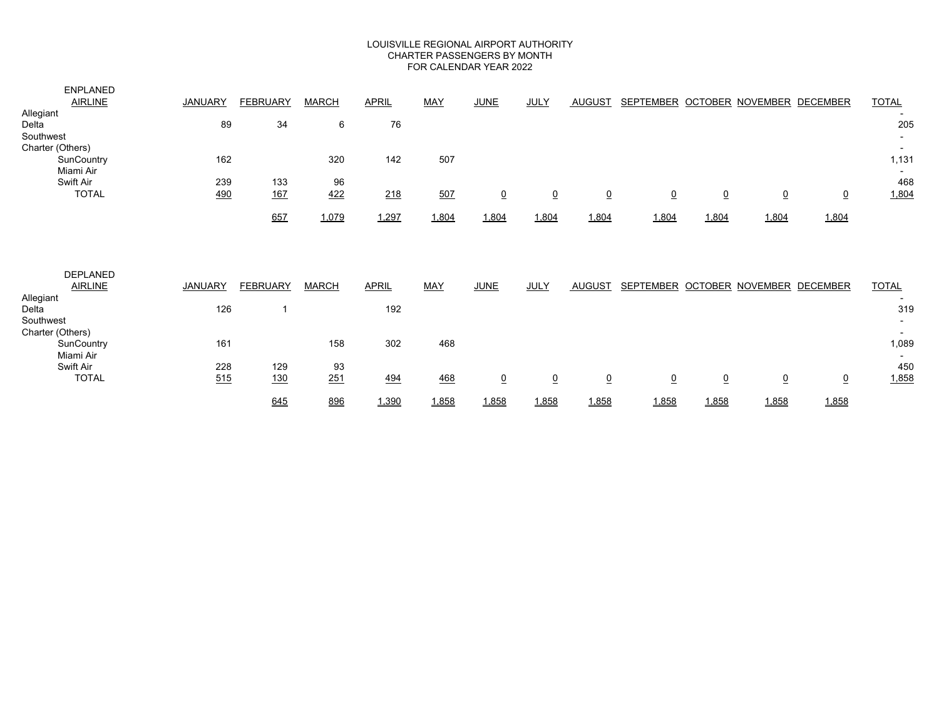#### LOUISVILLE REGIONAL AIRPORT AUTHORITY CHARTER PASSENGERS BY MONTH FOR CALENDAR YEAR 2022

| <b>ENPLANED</b><br><b>AIRLINE</b><br>Allegiant<br>Delta  | <b>JANUARY</b><br>89 | <b>FEBRUARY</b><br>34 | <b>MARCH</b><br>6 | <b>APRIL</b><br>76 | <b>MAY</b> | <b>JUNE</b>     | <b>JULY</b>     | <b>AUGUST</b>  | SEPTEMBER OCTOBER NOVEMBER DECEMBER |                 |           |                | <b>TOTAL</b><br>205               |
|----------------------------------------------------------|----------------------|-----------------------|-------------------|--------------------|------------|-----------------|-----------------|----------------|-------------------------------------|-----------------|-----------|----------------|-----------------------------------|
| Southwest<br>Charter (Others)<br>SunCountry<br>Miami Air | 162                  |                       | 320               | 142                | 507        |                 |                 |                |                                     |                 |           |                | 1,131<br>$\overline{\phantom{0}}$ |
| Swift Air<br><b>TOTAL</b>                                | 239<br>490           | 133<br><u>167</u>     | 96<br>422         | 218                | 507        | $\underline{0}$ | $\underline{0}$ | $\overline{0}$ | $\underline{0}$                     | $\overline{0}$  | $\pmb{0}$ | $\overline{0}$ | 468<br>1,804                      |
|                                                          |                      | 657                   | 1,079             | 1,297              | 1,804      | 1,804           | 1,804           | 1,804          | 1,804                               | 1,804           | 1,804     | 1,804          |                                   |
| <b>DEPLANED</b><br><b>AIRLINE</b>                        | <b>JANUARY</b>       | <b>FEBRUARY</b>       | <b>MARCH</b>      | <b>APRIL</b>       | <b>MAY</b> | <b>JUNE</b>     | <b>JULY</b>     | AUGUST         | SEPTEMBER OCTOBER NOVEMBER DECEMBER |                 |           |                | <b>TOTAL</b>                      |
| Allegiant<br>Delta<br>Southwest                          | 126                  | 1                     |                   | 192                |            |                 |                 |                |                                     |                 |           |                | 319                               |
| Charter (Others)<br>SunCountry<br>Miami Air              | 161                  |                       | 158               | 302                | 468        |                 |                 |                |                                     |                 |           |                | 1,089                             |
| Swift Air<br><b>TOTAL</b>                                | 228<br>515           | 129<br><u>130</u>     | 93<br>251         | 494                | 468        | $\underline{0}$ | $\underline{0}$ | $\overline{0}$ | $\underline{0}$                     | $\underline{0}$ | $\pmb{0}$ | $\overline{0}$ | 450<br>1,858                      |
|                                                          |                      | 645                   | 896               | 1,390              | 1,858      | 1,858           | 1,858           | 1,858          | 1,858                               | 1,858           | 1,858     | 1,858          |                                   |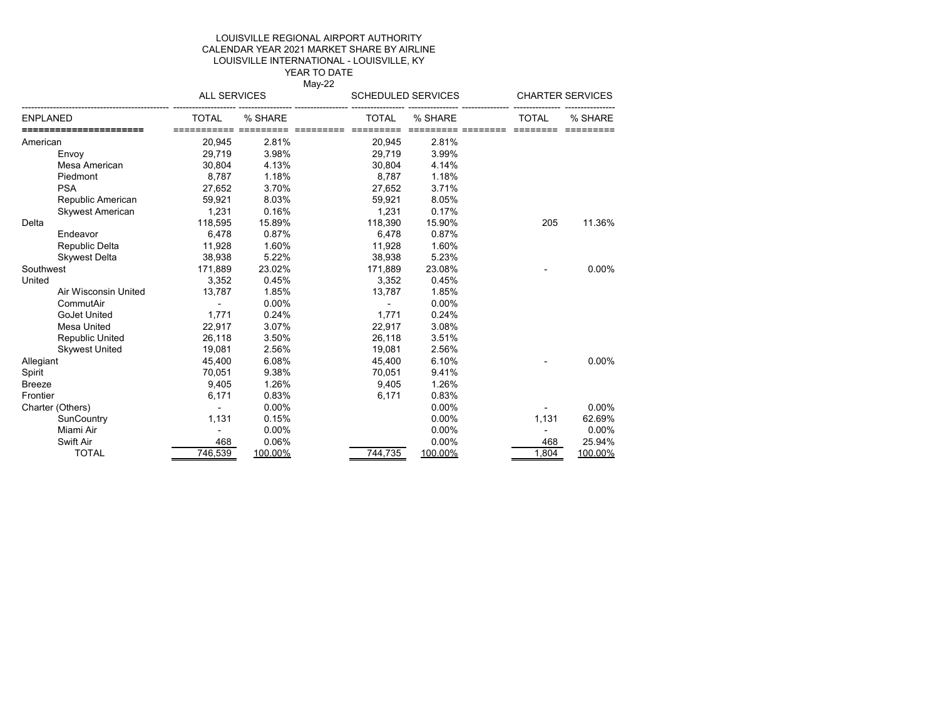#### LOUISVILLE INTERNATIONAL - LOUISVILLE, KY LOUISVILLE REGIONAL AIRPORT AUTHORITY CALENDAR YEAR 2021 MARKET SHARE BY AIRLINE YEAR TO DATE

May-22

#### ----------------------------------------------- -------------------- ----------------- ----------------- ----------------- ---------------- --------------- --------------- ---------------- ENPLANED TOTAL % SHARE TOTAL % SHARE TOTAL % SHARE **======================** =========== ========= ========= ========= ========= ======== ======== ========= American 20,945 2.81% 20,945 2.81% Envoy 29,719 3.98% 29,719 3.99% Mesa American 30,804 4.13% 30,804 4.14% Piedmont 8,787 1.18% 8,787 1.18% PSA 27,652 3.70% 27,652 3.71% Republic American 59,921 8.03% 59,921 8.05% Skywest American 1,231 0.16% 1,231 0.17% Delta 118,595 15.89% 118,390 15.90% 205 11.36% Endeavor 6,478 0.87% 6,478 0.87% Republic Delta 11,928 1.60% 11,928 1.60% Skywest Delta 38,938 5.22% 38,938 5.23% Southwest 171,889 23.02% 171,889 23.08% - 0.00% United 3,352 0.45% 3,352 0.45% Air Wisconsin United 13,787 1.85% 13,787 1.85% 13,787 1.85% 13,787 1.85% CommutAir - 0.00% - 0.00% GoJet United 1,771 0.24% 1,771 0.24%<br>
Mesa United 22.917 3.07% 22.917 3.08% Mesa United 22,917 3.07% 22,917 3.08% Republic United 26,118 3.50%<br>Skwest United 19.081 2.56% Skywest United 19,081 2.56% 19,081 2.56% Allegiant 45,400 6.08% 45,400 6.10% - 0.00% Spirit 70,051 9.38% 70,051 9.41% Breeze 9,405 1.26% 9,405 1.26% Frontier 6,171 0.83% 6,171 0.83% Charter (Others)  $-$  0.00% 0.00% - 0.00% 0.00% 0.00% 0.00% 0.00% 0.00% 0.00% 0.00% 0.00% 0.00% 0.00% 0.00% 0.00% 0.00% 0.00% 0.00% 0.00% 0.00% 0.00% 0.00% 0.00% 0.00% 0.00% 0.00% 0.00% 0.00% 0.00% 0.00% 0.00% 0.00% 0.00% 0 SunCountry 1,131 0.15% 0.00% 1,131 62.69% Miami Air - 0.00% 0.00% - 0.00% Swift Air 468 0.06% 0.00% 468 25.94% TOTAL 746,539 <u>100.00%</u> 744,735 <u>100.00%</u> 1,804 <u>100.00%</u> ALL SERVICES SCHEDULED SERVICES CHARTER SERVICES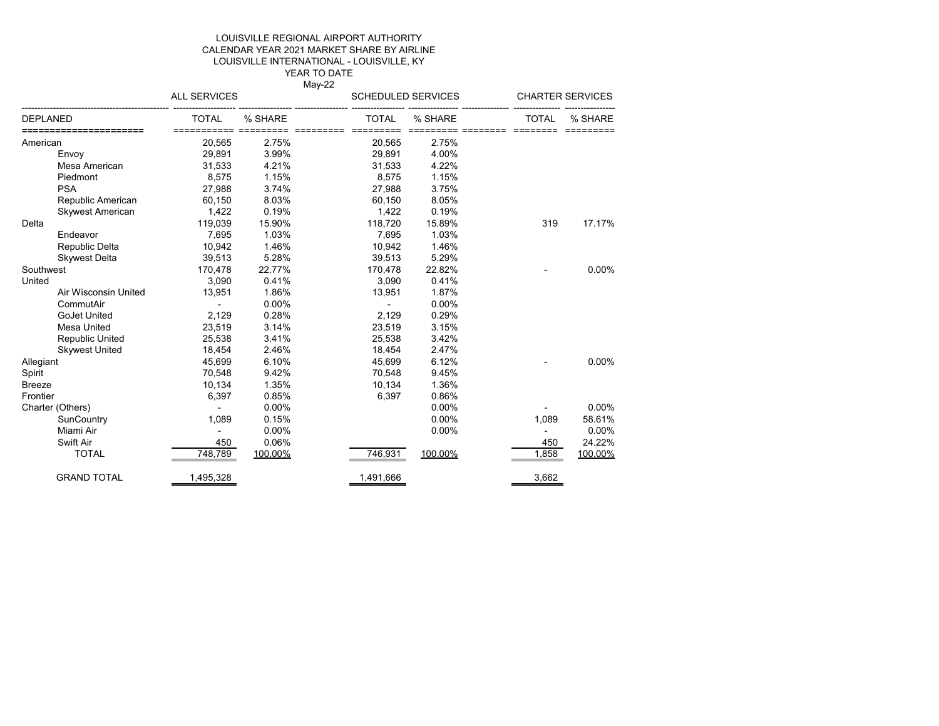#### YEAR TO DATE LOUISVILLE REGIONAL AIRPORT AUTHORITY CALENDAR YEAR 2021 MARKET SHARE BY AIRLINE LOUISVILLE INTERNATIONAL - LOUISVILLE, KY

May-22

|           |                         | <b>ALL SERVICES</b>         |         | <b>SCHEDULED SERVICES</b> |         |                   | <b>CHARTER SERVICES</b> |
|-----------|-------------------------|-----------------------------|---------|---------------------------|---------|-------------------|-------------------------|
| DEPLANED  |                         | <b>TOTAL</b><br>=========== | % SHARE | <b>TOTAL</b>              | % SHARE | TOTAL<br>======== | % SHARE                 |
| American  |                         | 20,565                      | 2.75%   | 20,565                    | 2.75%   |                   |                         |
|           | Envoy                   | 29,891                      | 3.99%   | 29,891                    | 4.00%   |                   |                         |
|           | Mesa American           | 31,533                      | 4.21%   | 31,533                    | 4.22%   |                   |                         |
|           | Piedmont                | 8,575                       | 1.15%   | 8,575                     | 1.15%   |                   |                         |
|           | <b>PSA</b>              | 27,988                      | 3.74%   | 27.988                    | 3.75%   |                   |                         |
|           | Republic American       | 60,150                      | 8.03%   | 60,150                    | 8.05%   |                   |                         |
|           | <b>Skywest American</b> | 1,422                       | 0.19%   | 1,422                     | 0.19%   |                   |                         |
| Delta     |                         | 119,039                     | 15.90%  | 118,720                   | 15.89%  | 319               | 17.17%                  |
|           | Endeavor                | 7,695                       | 1.03%   | 7,695                     | 1.03%   |                   |                         |
|           | Republic Delta          | 10,942                      | 1.46%   | 10,942                    | 1.46%   |                   |                         |
|           | <b>Skywest Delta</b>    | 39,513                      | 5.28%   | 39,513                    | 5.29%   |                   |                         |
| Southwest |                         | 170,478                     | 22.77%  | 170,478                   | 22.82%  |                   | 0.00%                   |
| United    |                         | 3,090                       | 0.41%   | 3,090                     | 0.41%   |                   |                         |
|           | Air Wisconsin United    | 13,951                      | 1.86%   | 13,951                    | 1.87%   |                   |                         |
|           | CommutAir               |                             | 0.00%   |                           | 0.00%   |                   |                         |
|           | <b>GoJet United</b>     | 2,129                       | 0.28%   | 2,129                     | 0.29%   |                   |                         |
|           | Mesa United             | 23,519                      | 3.14%   | 23,519                    | 3.15%   |                   |                         |
|           | <b>Republic United</b>  | 25,538                      | 3.41%   | 25,538                    | 3.42%   |                   |                         |
|           | <b>Skywest United</b>   | 18,454                      | 2.46%   | 18,454                    | 2.47%   |                   |                         |
| Allegiant |                         | 45,699                      | 6.10%   | 45,699                    | 6.12%   |                   | 0.00%                   |
| Spirit    |                         | 70,548                      | 9.42%   | 70,548                    | 9.45%   |                   |                         |
| Breeze    |                         | 10,134                      | 1.35%   | 10,134                    | 1.36%   |                   |                         |
| Frontier  |                         | 6,397                       | 0.85%   | 6,397                     | 0.86%   |                   |                         |
|           | Charter (Others)        |                             | 0.00%   |                           | 0.00%   |                   | 0.00%                   |
|           | SunCountry              | 1,089                       | 0.15%   |                           | 0.00%   | 1,089             | 58.61%                  |
|           | Miami Air               |                             | 0.00%   |                           | 0.00%   |                   | 0.00%                   |
|           | Swift Air               | 450                         | 0.06%   |                           |         | 450               | 24.22%                  |
|           | <b>TOTAL</b>            | 748,789                     | 100.00% | 746,931                   | 100.00% | 1,858             | 100.00%                 |
|           | <b>GRAND TOTAL</b>      | 1,495,328                   |         | 1,491,666                 |         | 3,662             |                         |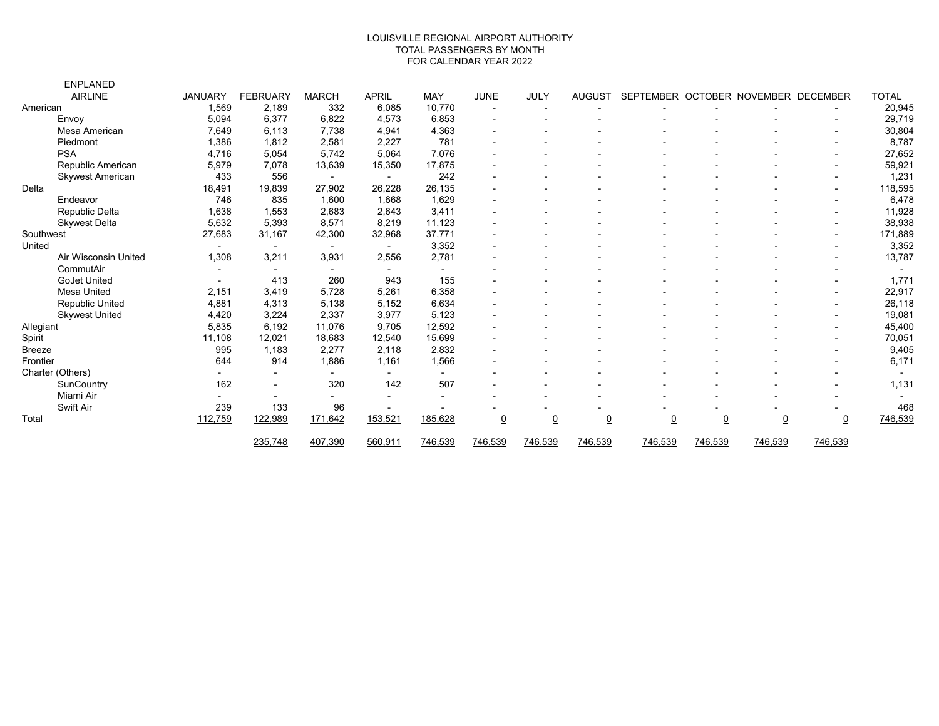#### TOTAL PASSENGERS BY MONTH FOR CALENDAR YEAR 2022 LOUISVILLE REGIONAL AIRPORT AUTHORITY

|               | <b>ENPLANED</b>         |                |                          |                |                          |                          |                          |                |                |                  |                |                         |                          |              |
|---------------|-------------------------|----------------|--------------------------|----------------|--------------------------|--------------------------|--------------------------|----------------|----------------|------------------|----------------|-------------------------|--------------------------|--------------|
|               | <b>AIRLINE</b>          | <b>JANUARY</b> | <b>FEBRUARY</b>          | <b>MARCH</b>   | <b>APRIL</b>             | MAY                      | <b>JUNE</b>              | JULY           | <b>AUGUST</b>  | <b>SEPTEMBER</b> |                | <b>OCTOBER NOVEMBER</b> | DECEMBER                 | <b>TOTAL</b> |
| American      |                         | 1,569          | 2,189                    | 332            | 6,085                    | 10,770                   | $\overline{\phantom{a}}$ |                |                |                  |                |                         |                          | 20,945       |
|               | Envoy                   | 5,094          | 6,377                    | 6,822          | 4,573                    | 6,853                    |                          |                |                |                  |                |                         |                          | 29,719       |
|               | Mesa American           | 7,649          | 6,113                    | 7,738          | 4,941                    | 4,363                    |                          |                |                |                  |                |                         |                          | 30,804       |
|               | Piedmont                | 1,386          | 1,812                    | 2,581          | 2,227                    | 781                      |                          |                |                |                  |                |                         |                          | 8,787        |
|               | <b>PSA</b>              | 4,716          | 5,054                    | 5,742          | 5,064                    | 7,076                    |                          |                |                |                  |                |                         |                          | 27,652       |
|               | Republic American       | 5,979          | 7,078                    | 13,639         | 15,350                   | 17,875                   |                          |                |                |                  |                |                         |                          | 59,921       |
|               | <b>Skywest American</b> | 433            | 556                      | $\sim$         | $\overline{\phantom{a}}$ | 242                      |                          |                |                |                  |                |                         | $\overline{\phantom{0}}$ | 1,231        |
| Delta         |                         | 18,491         | 19,839                   | 27,902         | 26,228                   | 26,135                   |                          |                |                |                  |                |                         |                          | 118,595      |
|               | Endeavor                | 746            | 835                      | 1,600          | 1,668                    | 1,629                    |                          |                |                |                  |                |                         |                          | 6,478        |
|               | Republic Delta          | 1,638          | 1,553                    | 2,683          | 2,643                    | 3,411                    |                          |                |                |                  |                |                         |                          | 11,928       |
|               | <b>Skywest Delta</b>    | 5,632          | 5,393                    | 8,571          | 8,219                    | 11,123                   |                          |                |                |                  |                |                         |                          | 38,938       |
| Southwest     |                         | 27,683         | 31,167                   | 42,300         | 32,968                   | 37,771                   |                          |                |                |                  |                |                         |                          | 171,889      |
| United        |                         |                | $\blacksquare$           | $\blacksquare$ | $\overline{\phantom{a}}$ | 3,352                    |                          |                |                |                  |                |                         |                          | 3,352        |
|               | Air Wisconsin United    | 1,308          | 3,211                    | 3,931          | 2,556                    | 2,781                    |                          |                |                |                  |                |                         |                          | 13,787       |
|               | CommutAir               |                | $\overline{\phantom{0}}$ | $\blacksquare$ | $\overline{\phantom{0}}$ | $\overline{\phantom{0}}$ |                          |                |                |                  |                |                         |                          |              |
|               | <b>GoJet United</b>     |                | 413                      | 260            | 943                      | 155                      |                          |                |                |                  |                |                         |                          | 1,771        |
|               | <b>Mesa United</b>      | 2,151          | 3,419                    | 5,728          | 5,261                    | 6,358                    |                          |                |                |                  |                |                         |                          | 22,917       |
|               | <b>Republic United</b>  | 4,881          | 4,313                    | 5,138          | 5,152                    | 6,634                    |                          |                |                |                  |                |                         |                          | 26,118       |
|               | <b>Skywest United</b>   | 4,420          | 3,224                    | 2,337          | 3,977                    | 5,123                    |                          |                |                |                  |                |                         |                          | 19,081       |
| Allegiant     |                         | 5,835          | 6,192                    | 11,076         | 9,705                    | 12,592                   |                          |                |                |                  |                |                         |                          | 45,400       |
| Spirit        |                         | 11,108         | 12,021                   | 18,683         | 12,540                   | 15,699                   |                          |                |                |                  |                |                         |                          | 70,051       |
| <b>Breeze</b> |                         | 995            | 1.183                    | 2,277          | 2.118                    | 2,832                    |                          |                |                |                  |                |                         |                          | 9,405        |
| Frontier      |                         | 644            | 914                      | 1,886          | 1,161                    | 1,566                    |                          |                |                |                  |                |                         |                          | 6,171        |
|               | Charter (Others)        |                |                          | $\blacksquare$ |                          |                          |                          |                |                |                  |                |                         |                          |              |
|               | SunCountry              | 162            | $\overline{\phantom{a}}$ | 320            | 142                      | 507                      |                          |                |                |                  |                |                         |                          | 1,131        |
|               | Miami Air               |                |                          |                |                          |                          |                          |                |                |                  |                |                         |                          |              |
|               | Swift Air               | 239            | 133                      | 96             |                          |                          |                          |                |                |                  |                |                         |                          | 468          |
| Total         |                         | 112,759        | 122,989                  | 171,642        | 153,521                  | 185,628                  | $\underline{0}$          | $\overline{0}$ | $\overline{0}$ | $\underline{0}$  | $\overline{0}$ | $\underline{0}$         | $\overline{0}$           | 746,539      |
|               |                         |                | 235,748                  | 407,390        | 560,911                  | 746,539                  | 746,539                  | 746,539        | 746,539        | 746,539          | 746,539        | 746,539                 | 746,539                  |              |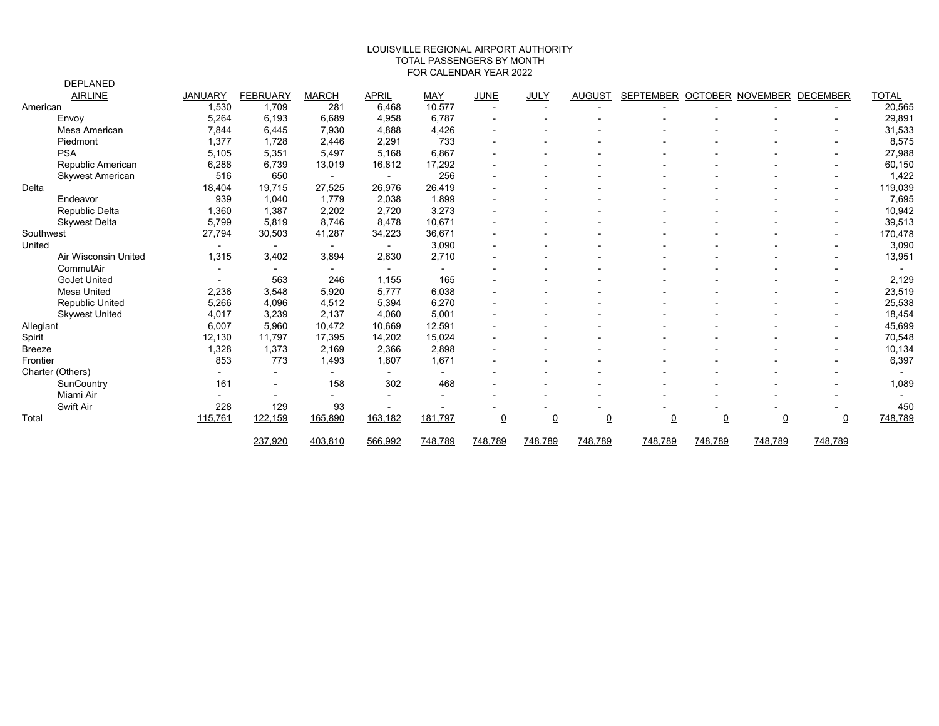#### FOR CALENDAR YEAR 2022 LOUISVILLE REGIONAL AIRPORT AUTHORITY TOTAL PASSENGERS BY MONTH

|           | <b>DEPLANED</b>         |                          |                          |                          |              |            |                 |                |                |                  |                |                         |                          |              |
|-----------|-------------------------|--------------------------|--------------------------|--------------------------|--------------|------------|-----------------|----------------|----------------|------------------|----------------|-------------------------|--------------------------|--------------|
|           | <b>AIRLINE</b>          | <b>JANUARY</b>           | <b>FEBRUARY</b>          | <b>MARCH</b>             | <b>APRIL</b> | <b>MAY</b> | <b>JUNE</b>     | JULY           | <b>AUGUST</b>  | <b>SEPTEMBER</b> |                | <b>OCTOBER NOVEMBER</b> | <b>DECEMBER</b>          | <u>TOTAL</u> |
| American  |                         | 1,530                    | 1,709                    | 281                      | 6,468        | 10,577     |                 |                |                |                  |                |                         |                          | 20,565       |
|           | Envoy                   | 5,264                    | 6,193                    | 6,689                    | 4,958        | 6.787      |                 |                |                |                  |                |                         |                          | 29,891       |
|           | Mesa American           | 7,844                    | 6,445                    | 7,930                    | 4,888        | 4,426      |                 |                |                |                  |                |                         | $\blacksquare$           | 31,533       |
|           | Piedmont                | 1,377                    | 1,728                    | 2,446                    | 2,291        | 733        |                 |                |                |                  |                |                         |                          | 8,575        |
|           | <b>PSA</b>              | 5,105                    | 5,351                    | 5,497                    | 5,168        | 6,867      |                 |                |                |                  |                |                         | $\overline{\phantom{a}}$ | 27,988       |
|           | Republic American       | 6,288                    | 6,739                    | 13,019                   | 16,812       | 17,292     |                 |                |                |                  |                |                         | $\overline{\phantom{0}}$ | 60,150       |
|           | <b>Skywest American</b> | 516                      | 650                      | $\sim$                   | $\sim$       | 256        |                 |                |                |                  |                |                         | $\blacksquare$           | 1,422        |
| Delta     |                         | 18,404                   | 19,715                   | 27,525                   | 26,976       | 26,419     |                 |                |                |                  |                |                         | $\overline{\phantom{a}}$ | 119,039      |
|           | Endeavor                | 939                      | 1.040                    | 1.779                    | 2,038        | 1.899      |                 |                |                |                  |                |                         |                          | 7,695        |
|           | Republic Delta          | 1,360                    | 1,387                    | 2,202                    | 2,720        | 3,273      |                 |                |                |                  |                |                         |                          | 10,942       |
|           | <b>Skywest Delta</b>    | 5,799                    | 5,819                    | 8,746                    | 8,478        | 10,671     |                 |                |                |                  |                |                         | $\overline{\phantom{a}}$ | 39,513       |
| Southwest |                         | 27,794                   | 30,503                   | 41,287                   | 34,223       | 36,671     |                 |                |                |                  |                |                         | $\blacksquare$           | 170,478      |
| United    |                         |                          | $\overline{\phantom{a}}$ | $\overline{\phantom{a}}$ | $\sim$       | 3,090      |                 |                |                |                  |                |                         |                          | 3,090        |
|           | Air Wisconsin United    | 1,315                    | 3,402                    | 3,894                    | 2,630        | 2,710      |                 |                |                |                  |                |                         |                          | 13,951       |
|           | CommutAir               | $\overline{\phantom{a}}$ |                          | $\blacksquare$           | $\sim$       | $\sim$     |                 |                |                |                  |                |                         |                          |              |
|           | <b>GoJet United</b>     |                          | 563                      | 246                      | 1,155        | 165        |                 |                |                |                  |                |                         |                          | 2,129        |
|           | Mesa United             | 2,236                    | 3,548                    | 5,920                    | 5,777        | 6,038      |                 |                |                |                  |                |                         | $\blacksquare$           | 23,519       |
|           | Republic United         | 5,266                    | 4,096                    | 4,512                    | 5,394        | 6,270      |                 |                |                |                  |                |                         | $\blacksquare$           | 25,538       |
|           | <b>Skywest United</b>   | 4,017                    | 3,239                    | 2,137                    | 4,060        | 5,001      |                 |                |                |                  |                |                         | $\blacksquare$           | 18,454       |
| Allegiant |                         | 6,007                    | 5,960                    | 10,472                   | 10,669       | 12,591     |                 |                |                |                  |                |                         | $\overline{\phantom{0}}$ | 45,699       |
| Spirit    |                         | 12,130                   | 11,797                   | 17,395                   | 14,202       | 15,024     |                 |                |                |                  |                |                         |                          | 70,548       |
| Breeze    |                         | 1,328                    | 1,373                    | 2,169                    | 2,366        | 2,898      |                 |                |                |                  |                |                         |                          | 10,134       |
| Frontier  |                         | 853                      | 773                      | 1,493                    | 1,607        | 1,671      |                 |                |                |                  |                |                         |                          | 6,397        |
|           | Charter (Others)        |                          |                          | $\blacksquare$           |              |            |                 |                |                |                  |                |                         |                          |              |
|           | SunCountry              | 161                      |                          | 158                      | 302          | 468        |                 |                |                |                  |                |                         |                          | 1,089        |
|           | Miami Air               |                          | $\overline{\phantom{a}}$ | $\blacksquare$           |              |            |                 |                |                |                  |                |                         |                          |              |
|           | Swift Air               | 228                      | 129                      | 93                       |              |            |                 |                |                |                  |                |                         |                          | 450          |
| Total     |                         | 115,761                  | 122,159                  | 165,890                  | 163,182      | 181,797    | $\underline{0}$ | $\overline{0}$ | $\overline{0}$ | $\overline{0}$   | $\overline{0}$ | $\overline{0}$          | $\overline{0}$           | 748,789      |
|           |                         |                          | 237,920                  | 403,810                  | 566,992      | 748,789    | 748,789         | 748,789        | 748,789        | 748,789          | 748,789        | 748,789                 | 748,789                  |              |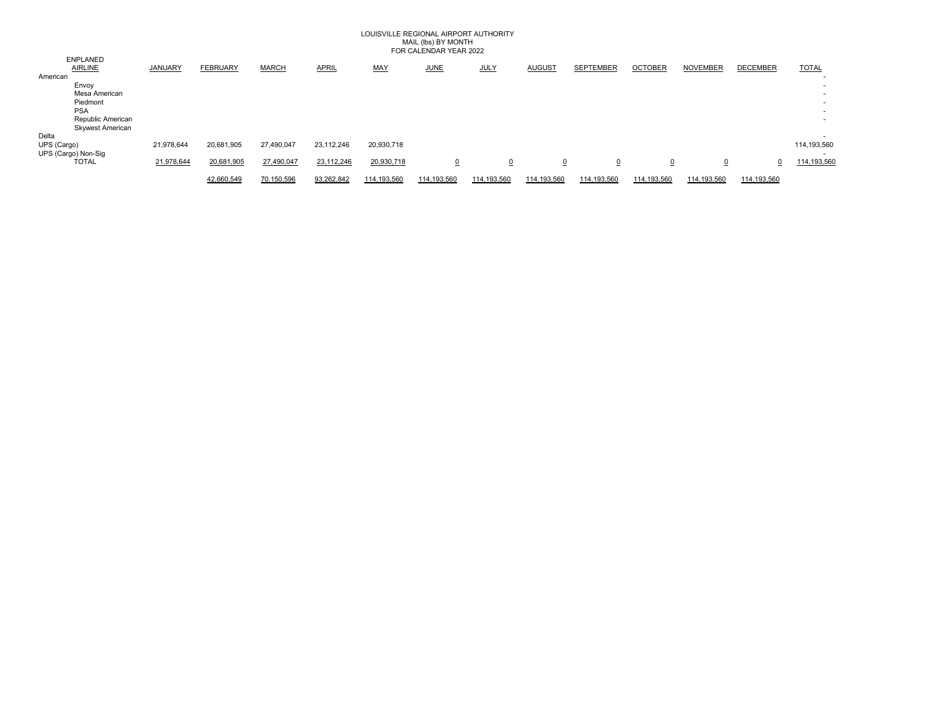### LOUISVILLE REGIONAL AIRPORT AUTHORITY MAIL (lbs) BY MONTH FOR CALENDAR YEAR 2022

|                                   |            |                 |              |              |             | , OI , O/ , LL, 19, 1, 1, L/ 1, LV LL |             |                |                  |                |                 |                 |                          |
|-----------------------------------|------------|-----------------|--------------|--------------|-------------|---------------------------------------|-------------|----------------|------------------|----------------|-----------------|-----------------|--------------------------|
| <b>ENPLANED</b><br><b>AIRLINE</b> | JANUARY    | <b>FEBRUARY</b> | <b>MARCH</b> | <b>APRIL</b> | <b>MAY</b>  | <b>JUNE</b>                           | <b>JULY</b> | <b>AUGUST</b>  | <b>SEPTEMBER</b> | <b>OCTOBER</b> | <b>NOVEMBER</b> | <b>DECEMBER</b> | <b>TOTAL</b>             |
| American                          |            |                 |              |              |             |                                       |             |                |                  |                |                 |                 |                          |
| Envoy                             |            |                 |              |              |             |                                       |             |                |                  |                |                 |                 | $\overline{\phantom{a}}$ |
| Mesa American                     |            |                 |              |              |             |                                       |             |                |                  |                |                 |                 | $\sim$                   |
| Piedmont                          |            |                 |              |              |             |                                       |             |                |                  |                |                 |                 | . .                      |
| <b>PSA</b>                        |            |                 |              |              |             |                                       |             |                |                  |                |                 |                 | . .                      |
| Republic American                 |            |                 |              |              |             |                                       |             |                |                  |                |                 |                 | . .                      |
| <b>Skywest American</b>           |            |                 |              |              |             |                                       |             |                |                  |                |                 |                 |                          |
| Delta                             |            |                 |              |              |             |                                       |             |                |                  |                |                 |                 | . .                      |
| UPS (Cargo)                       | 21,978,644 | 20,681,905      | 27,490,047   | 23,112,246   | 20,930,718  |                                       |             |                |                  |                |                 |                 | 114,193,560              |
| UPS (Cargo) Non-Sig               |            |                 |              |              |             |                                       |             |                |                  |                |                 |                 | $\overline{\phantom{a}}$ |
| <b>TOTAL</b>                      | 21,978,644 | 20,681,905      | 27,490,047   | 23,112,246   | 20,930,718  | $\overline{0}$                        | $\Omega$    | $\overline{0}$ | $\overline{0}$   | $\Omega$       |                 |                 | 114,193,560              |
|                                   |            | 42,660,549      | 70.150.596   | 93,262,842   | 114.193.560 | 114,193,560                           | 114.193.560 | 114,193,560    | 114.193.560      | 114.193.560    | 114.193.560     | 114.193.560     |                          |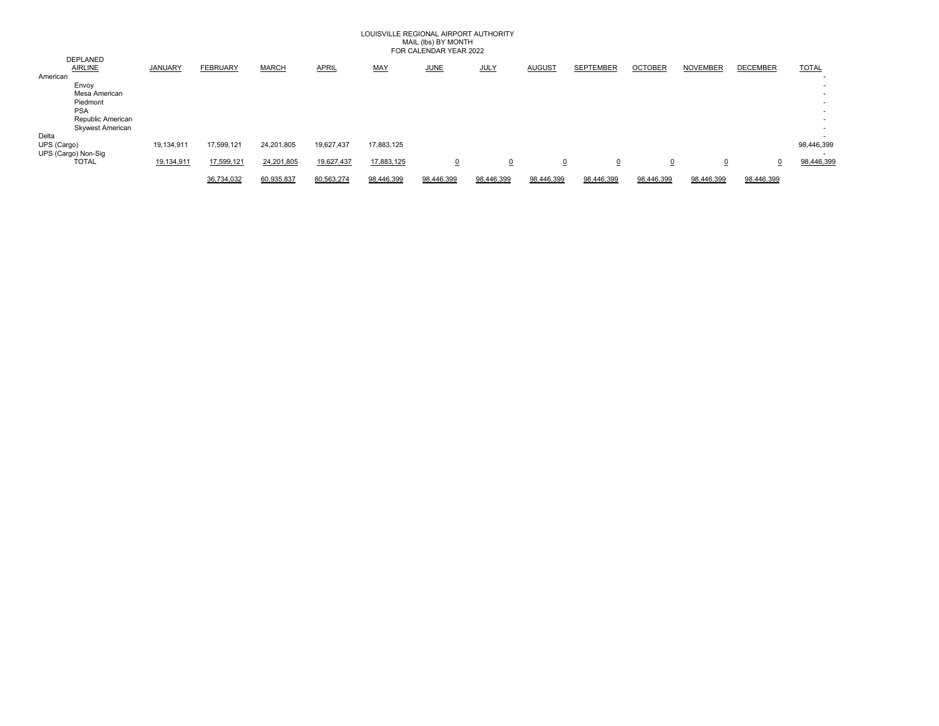### LOUISVILLE REGIONAL AIRPORT AUTHORITY MAIL (lbs) BY MONTH FOR CALENDAR YEAR 2022

| DEPLANED                |            |                 |              |              |            |             |                |               |                  |                |                 |                 |              |
|-------------------------|------------|-----------------|--------------|--------------|------------|-------------|----------------|---------------|------------------|----------------|-----------------|-----------------|--------------|
| <b>AIRLINE</b>          | JANUARY    | <b>FEBRUARY</b> | <b>MARCH</b> | <b>APRIL</b> | MAY        | <b>JUNE</b> | <b>JULY</b>    | <b>AUGUST</b> | <b>SEPTEMBER</b> | <b>OCTOBER</b> | <b>NOVEMBER</b> | <b>DECEMBER</b> | <b>TOTAL</b> |
| American                |            |                 |              |              |            |             |                |               |                  |                |                 |                 | . .          |
| Envoy                   |            |                 |              |              |            |             |                |               |                  |                |                 |                 |              |
| Mesa American           |            |                 |              |              |            |             |                |               |                  |                |                 |                 | . .          |
| Piedmont                |            |                 |              |              |            |             |                |               |                  |                |                 |                 |              |
| <b>PSA</b>              |            |                 |              |              |            |             |                |               |                  |                |                 |                 | . .          |
| Republic American       |            |                 |              |              |            |             |                |               |                  |                |                 |                 |              |
| <b>Skywest American</b> |            |                 |              |              |            |             |                |               |                  |                |                 |                 | . .          |
| Delta                   |            |                 |              |              |            |             |                |               |                  |                |                 |                 | . .          |
| UPS (Cargo)             | 19,134,911 | 17,599,121      | 24,201,805   | 19,627,437   | 17,883,125 |             |                |               |                  |                |                 |                 | 98,446,399   |
| UPS (Cargo) Non-Sig     |            |                 |              |              |            |             |                |               |                  |                |                 |                 |              |
| <b>TOTAL</b>            | 19,134,911 | 17,599,121      | 24,201,805   | 19,627,437   | 17,883,125 | $\Omega$    | $\overline{o}$ |               |                  | $\overline{0}$ | $\overline{0}$  |                 | 98,446,399   |
|                         |            |                 |              |              |            |             |                |               |                  |                |                 |                 |              |
|                         |            | 36,734,032      | 60,935,837   | 80,563,274   | 98,446,399 | 98,446,399  | 98,446,399     | 98,446,399    | 98,446,399       | 98,446,399     | 98,446,399      | 98,446,399      |              |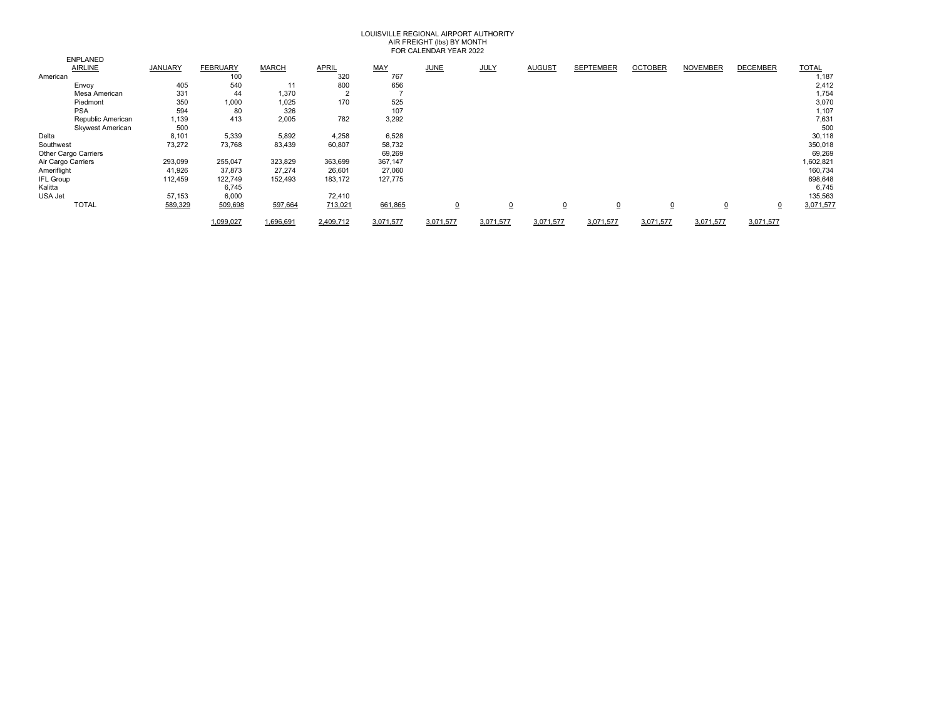## LOUISVILLE REGIONAL AIRPORT AUTHORITY AIR FREIGHT (Ibs) BY MONTH<br>FOR CALENDAR YEAR 2022

|                             |         |                 |              |              |           | 101101         |             |                |                  |                |                 |                 |              |
|-----------------------------|---------|-----------------|--------------|--------------|-----------|----------------|-------------|----------------|------------------|----------------|-----------------|-----------------|--------------|
| <b>ENPLANED</b>             |         |                 |              |              |           |                |             |                |                  |                |                 |                 |              |
| <b>AIRLINE</b>              | JANUARY | <b>FEBRUARY</b> | <b>MARCH</b> | <b>APRIL</b> | MAY       | <b>JUNE</b>    | <b>JULY</b> | <b>AUGUST</b>  | <b>SEPTEMBER</b> | <b>OCTOBER</b> | <b>NOVEMBER</b> | <b>DECEMBER</b> | <b>TOTAL</b> |
| American                    |         | 100             |              | 320          | 767       |                |             |                |                  |                |                 |                 | 1,187        |
| Envoy                       | 405     | 540             | 11           | 800          | 656       |                |             |                |                  |                |                 |                 | 2,412        |
| Mesa American               | 331     | 44              | 1,370        | $\sim$<br>∠  |           |                |             |                |                  |                |                 |                 | 1,754        |
| Piedmont                    | 350     | 1,000           | 1,025        | 170          | 525       |                |             |                |                  |                |                 |                 | 3,070        |
| <b>PSA</b>                  | 594     | 80              | 326          |              | 107       |                |             |                |                  |                |                 |                 | 1,107        |
| Republic American           | 1,139   | 413             | 2,005        | 782          | 3,292     |                |             |                |                  |                |                 |                 | 7,631        |
| <b>Skywest American</b>     | 500     |                 |              |              |           |                |             |                |                  |                |                 |                 | 500          |
| Delta                       | 8,101   | 5,339           | 5,892        | 4,258        | 6,528     |                |             |                |                  |                |                 |                 | 30,118       |
| Southwest                   | 73,272  | 73,768          | 83,439       | 60,807       | 58,732    |                |             |                |                  |                |                 |                 | 350,018      |
| <b>Other Cargo Carriers</b> |         |                 |              |              | 69,269    |                |             |                |                  |                |                 |                 | 69,269       |
| Air Cargo Carriers          | 293,099 | 255,047         | 323,829      | 363,699      | 367,147   |                |             |                |                  |                |                 |                 | 1,602,821    |
| Ameriflight                 | 41,926  | 37,873          | 27,274       | 26,601       | 27,060    |                |             |                |                  |                |                 |                 | 160,734      |
| <b>IFL Group</b>            | 112,459 | 122,749         | 152,493      | 183,172      | 127,775   |                |             |                |                  |                |                 |                 | 698,648      |
| Kalitta                     |         | 6,745           |              |              |           |                |             |                |                  |                |                 |                 | 6,745        |
| USA Jet                     | 57,153  | 6,000           |              | 72,410       |           |                |             |                |                  |                |                 |                 | 135,563      |
| <b>TOTAL</b>                | 589,329 | 509,698         | 597,664      | 713,021      | 661,865   | $\overline{0}$ | $\Omega$    | $\overline{0}$ | $\overline{0}$   | $\overline{0}$ | $\overline{0}$  | 0               | 3,071,577    |
|                             |         | 1,099,027       | 1,696,691    | 2.409.712    | 3.071.577 | 3,071,577      | 3.071.577   | 3.071.577      | 3.071.577        | 3.071.577      | 3.071.577       | 3.071.577       |              |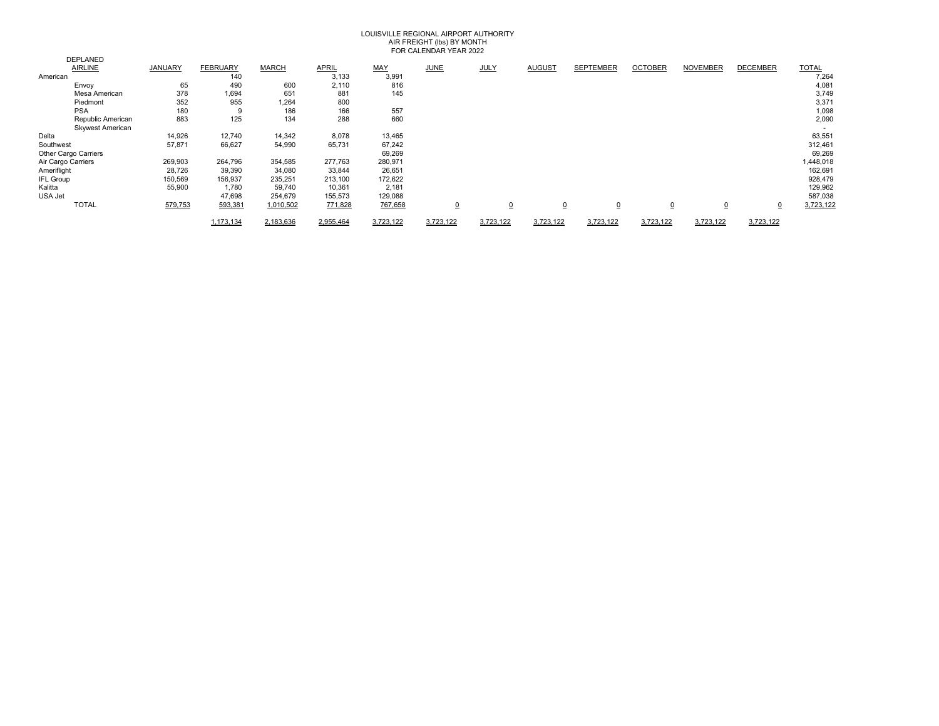## AIR FREIGHT (lbs) BY MONTH FOR CALENDAR YEAR 2022 LOUISVILLE REGIONAL AIRPORT AUTHORITY

|                    |                         |                |                 |              |              |            | 101101         |                |                |                  |                |                 |                 |              |
|--------------------|-------------------------|----------------|-----------------|--------------|--------------|------------|----------------|----------------|----------------|------------------|----------------|-----------------|-----------------|--------------|
|                    | <b>DEPLANED</b>         |                |                 |              |              |            |                |                |                |                  |                |                 |                 |              |
|                    | <b>AIRLINE</b>          | <b>JANUARY</b> | <b>FEBRUARY</b> | <b>MARCH</b> | <b>APRIL</b> | <b>MAY</b> | <b>JUNE</b>    | <b>JULY</b>    | <b>AUGUST</b>  | <b>SEPTEMBER</b> | <b>OCTOBER</b> | <b>NOVEMBER</b> | <b>DECEMBER</b> | <b>TOTAL</b> |
| American           |                         |                | 140             |              | 3,133        | 3,991      |                |                |                |                  |                |                 |                 | 7,264        |
|                    | Envoy                   | 65             | 490             | 600          | 2,110        | 816        |                |                |                |                  |                |                 |                 | 4,081        |
|                    | Mesa American           | 378            | 1,694           | 651          | 881          | 145        |                |                |                |                  |                |                 |                 | 3,749        |
|                    | Piedmont                | 352            | 955             | 1,264        | 800          |            |                |                |                |                  |                |                 |                 | 3,37'        |
|                    | <b>PSA</b>              | 180            | 9               | 186          | 166          | 557        |                |                |                |                  |                |                 |                 | 1,098        |
|                    | Republic American       | 883            | 125             | 134          | 288          | 660        |                |                |                |                  |                |                 |                 | 2,090        |
|                    | <b>Skywest American</b> |                |                 |              |              |            |                |                |                |                  |                |                 |                 |              |
| Delta              |                         | 14,926         | 12,740          | 14,342       | 8,078        | 13,465     |                |                |                |                  |                |                 |                 | 63,551       |
| Southwest          |                         | 57,871         | 66,627          | 54,990       | 65,731       | 67,242     |                |                |                |                  |                |                 |                 | 312,461      |
|                    | Other Cargo Carriers    |                |                 |              |              | 69,269     |                |                |                |                  |                |                 |                 | 69,269       |
| Air Cargo Carriers |                         | 269,903        | 264,796         | 354,585      | 277,763      | 280,971    |                |                |                |                  |                |                 |                 | 1,448,018    |
| Ameriflight        |                         | 28,726         | 39,390          | 34,080       | 33,844       | 26,651     |                |                |                |                  |                |                 |                 | 162,691      |
| <b>IFL Group</b>   |                         | 150,569        | 156,937         | 235,251      | 213,100      | 172,622    |                |                |                |                  |                |                 |                 | 928,479      |
| Kalitta            |                         | 55,900         | 1,780           | 59,740       | 10,361       | 2,181      |                |                |                |                  |                |                 |                 | 129,962      |
| USA Jet            |                         |                | 47,698          | 254,679      | 155,573      | 129,088    |                |                |                |                  |                |                 |                 | 587,038      |
|                    | <b>TOTAL</b>            | 579,753        | 593,381         | 1,010,502    | 771,828      | 767,658    | $\overline{0}$ | $\overline{0}$ | $\overline{0}$ | $\overline{0}$   | 0              | 0               | <u>0</u>        | 3,723,122    |
|                    |                         |                | 1.173.134       | 2.183.636    | 2.955.464    | 3.723.122  | 3,723,122      | 3,723,122      | 3,723,122      | 3,723,122        | 3,723,122      | 3,723,122       | 3,723,122       |              |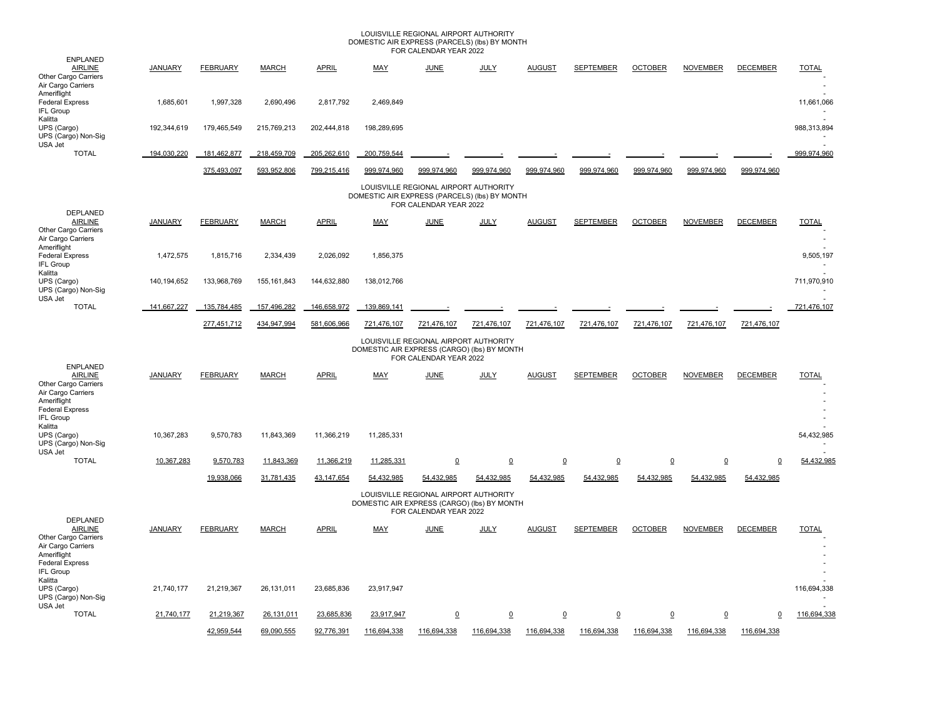### LOUISVILLE REGIONAL AIRPORT AUTHORITY DOMESTIC AIR EXPRESS (PARCELS) (lbs) BY MONTH FOR CALENDAR YEAR 2022

| <b>ENPLANED</b>                                                                                                                       |                |                 |               |              |                                               |                                                                 |                         |                 |                  |                 |                 |                 |                       |
|---------------------------------------------------------------------------------------------------------------------------------------|----------------|-----------------|---------------|--------------|-----------------------------------------------|-----------------------------------------------------------------|-------------------------|-----------------|------------------|-----------------|-----------------|-----------------|-----------------------|
| <b>AIRLINE</b><br>Other Cargo Carriers<br>Air Cargo Carriers                                                                          | <b>JANUARY</b> | <b>FEBRUARY</b> | <b>MARCH</b>  | <b>APRIL</b> | <b>MAY</b>                                    | <b>JUNE</b>                                                     | <b>JULY</b>             | <b>AUGUST</b>   | <b>SEPTEMBER</b> | <b>OCTOBER</b>  | <b>NOVEMBER</b> | <b>DECEMBER</b> | <b>TOTAL</b>          |
| Ameriflight<br><b>Federal Express</b><br>IFL Group                                                                                    | 1,685,601      | 1,997,328       | 2,690,496     | 2,817,792    | 2,469,849                                     |                                                                 |                         |                 |                  |                 |                 |                 | 11,661,066            |
| Kalitta<br>UPS (Cargo)<br>UPS (Cargo) Non-Sig<br>USA Jet                                                                              | 192,344,619    | 179,465,549     | 215,769,213   | 202,444,818  | 198,289,695                                   |                                                                 |                         |                 |                  |                 |                 |                 | 988,313,894           |
| <b>TOTAL</b>                                                                                                                          | 194,030,220    | 181,462,877     | 218,459,709   | 205,262,610  | 200,759,544                                   |                                                                 |                         |                 |                  |                 |                 |                 | 999,974,960           |
|                                                                                                                                       |                | 375,493,097     | 593,952,806   | 799,215,416  | 999,974,960                                   | 999,974,960                                                     | 999,974,960             | 999,974,960     | 999,974,960      | 999,974,960     | 999.974.960     | 999,974,960     |                       |
|                                                                                                                                       |                |                 |               |              | DOMESTIC AIR EXPRESS (PARCELS) (lbs) BY MONTH | LOUISVILLE REGIONAL AIRPORT AUTHORITY<br>FOR CALENDAR YEAR 2022 |                         |                 |                  |                 |                 |                 |                       |
| <b>DEPLANED</b><br><b>AIRLINE</b><br>Other Cargo Carriers<br>Air Cargo Carriers                                                       | <b>JANUARY</b> | <b>FEBRUARY</b> | <b>MARCH</b>  | <b>APRIL</b> | MAY                                           | <b>JUNE</b>                                                     | <b>JULY</b>             | <b>AUGUST</b>   | <b>SEPTEMBER</b> | <b>OCTOBER</b>  | <b>NOVEMBER</b> | <b>DECEMBER</b> | <b>TOTAL</b>          |
| Ameriflight<br><b>Federal Express</b><br><b>IFL Group</b><br>Kalitta                                                                  | 1,472,575      | 1,815,716       | 2,334,439     | 2,026,092    | 1,856,375                                     |                                                                 |                         |                 |                  |                 |                 |                 | 9,505,197             |
| UPS (Cargo)<br>UPS (Cargo) Non-Sig<br>USA Jet                                                                                         | 140,194,652    | 133,968,769     | 155, 161, 843 | 144,632,880  | 138,012,766                                   |                                                                 |                         |                 |                  |                 |                 |                 | 711,970,910           |
| <b>TOTAL</b>                                                                                                                          | 141.667.227    | 135.784.485     | 157.496.282   | 146.658.972  | 139.869.141                                   |                                                                 |                         |                 |                  |                 |                 |                 | 721,476,107           |
|                                                                                                                                       |                | 277,451,712     | 434,947,994   | 581,606,966  | 721,476,107                                   | 721,476,107                                                     | 721,476,107             | 721,476,107     | 721,476,107      | 721,476,107     | 721,476,107     | 721,476,107     |                       |
|                                                                                                                                       |                |                 |               |              | DOMESTIC AIR EXPRESS (CARGO) (lbs) BY MONTH   | LOUISVILLE REGIONAL AIRPORT AUTHORITY<br>FOR CALENDAR YEAR 2022 |                         |                 |                  |                 |                 |                 |                       |
| <b>ENPLANED</b><br><b>AIRLINE</b><br>Other Cargo Carriers<br>Air Cargo Carriers<br>Ameriflight<br><b>Federal Express</b><br>IFL Group | JANUARY        | <b>FEBRUARY</b> | <b>MARCH</b>  | <b>APRIL</b> | MAY                                           | <b>JUNE</b>                                                     | <b>JULY</b>             | <b>AUGUST</b>   | <b>SEPTEMBER</b> | <b>OCTOBER</b>  | <b>NOVEMBER</b> | <b>DECEMBER</b> | <b>TOTAL</b>          |
| Kalitta<br>UPS (Cargo)<br>UPS (Cargo) Non-Sig<br>USA Jet                                                                              | 10,367,283     | 9,570,783       | 11,843,369    | 11,366,219   | 11,285,331                                    |                                                                 |                         |                 |                  |                 |                 |                 | 54,432,985            |
| <b>TOTAL</b>                                                                                                                          | 10,367,283     | 9,570,783       | 11,843,369    | 11,366,219   | 11,285,331                                    | $\overline{\mathbf{0}}$                                         | $\overline{\mathbf{0}}$ | $\underline{0}$ | $\underline{0}$  | $\underline{0}$ | $\underline{0}$ | $\mathbf 0$     | 54,432,985            |
|                                                                                                                                       |                | 19,938,066      | 31,781,435    | 43,147,654   | 54,432,985                                    | 54,432,985                                                      | 54,432,985              | 54,432,985      | 54,432,985       | 54,432,985      | 54,432,985      | 54,432,985      |                       |
|                                                                                                                                       |                |                 |               |              | DOMESTIC AIR EXPRESS (CARGO) (lbs) BY MONTH   | LOUISVILLE REGIONAL AIRPORT AUTHORITY<br>FOR CALENDAR YEAR 2022 |                         |                 |                  |                 |                 |                 |                       |
| <b>DEPLANED</b><br><b>AIRLINE</b><br>Other Cargo Carriers<br>Air Cargo Carriers<br>Ameriflight<br><b>Federal Express</b><br>IFL Group | <b>JANUARY</b> | <b>FEBRUARY</b> | <b>MARCH</b>  | <b>APRIL</b> | MAY                                           | <b>JUNE</b>                                                     | <b>JULY</b>             | <b>AUGUST</b>   | <b>SEPTEMBER</b> | <b>OCTOBER</b>  | <b>NOVEMBER</b> | <b>DECEMBER</b> | <b>TOTAL</b>          |
| Kalitta<br>UPS (Cargo)<br>UPS (Cargo) Non-Sig<br>USA Jet                                                                              | 21,740,177     | 21,219,367      | 26,131,011    | 23,685,836   | 23,917,947                                    |                                                                 |                         |                 |                  |                 |                 |                 | 116,694,338<br>$\sim$ |
| <b>TOTAL</b>                                                                                                                          | 21,740,177     | 21,219,367      | 26,131,011    | 23,685,836   | 23,917,947                                    | $\underline{0}$                                                 | $\overline{0}$          | $\Omega$        | $\Omega$         | $\underline{0}$ | $\overline{0}$  | 0               | 116,694,338           |
|                                                                                                                                       |                | 42.959.544      | 69,090,555    | 92,776,391   | 116,694,338                                   | 116.694.338                                                     | 116.694.338             | 116,694,338     | 116.694.338      | 116,694,338     | 116,694,338     | 116,694,338     |                       |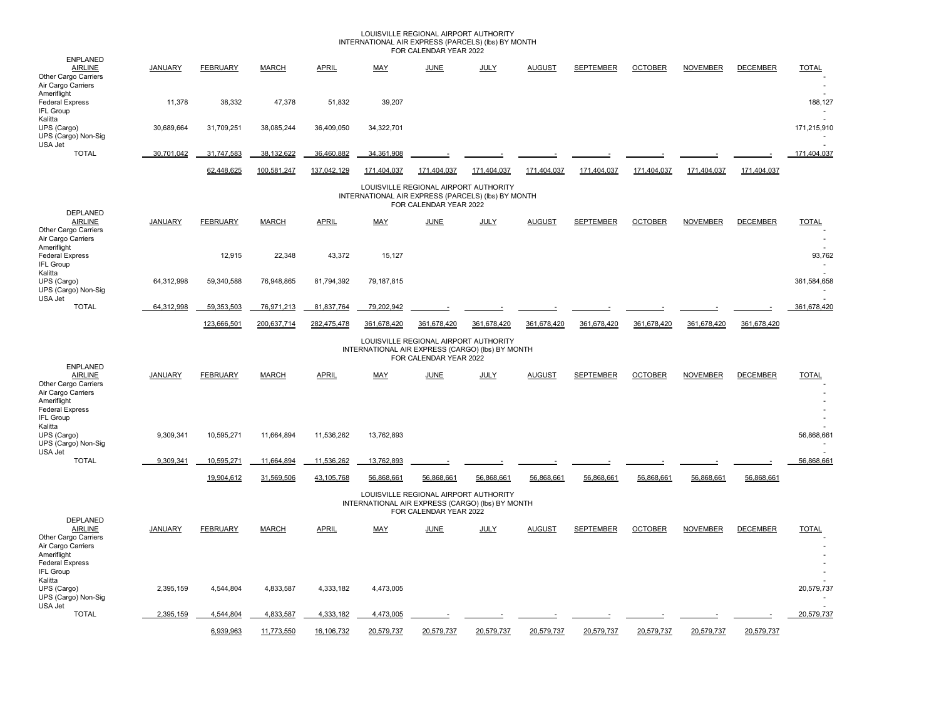### INTERNATIONAL AIR EXPRESS (PARCELS) (Ibs) BY MONTH<br>FOR CALENDAR YEAR 2022 LOUISVILLE REGIONAL AIRPORT AUTHORITY

|                                                                                                                                       |                                                                                                                       |                 |              |              |                                                  | I UN CALLINDAN TLAN 2022                                        |             |               |                  |                |                 |                 |                      |  |
|---------------------------------------------------------------------------------------------------------------------------------------|-----------------------------------------------------------------------------------------------------------------------|-----------------|--------------|--------------|--------------------------------------------------|-----------------------------------------------------------------|-------------|---------------|------------------|----------------|-----------------|-----------------|----------------------|--|
| <b>ENPLANED</b><br><b>AIRLINE</b><br>Other Cargo Carriers<br>Air Cargo Carriers                                                       | <b>JANUARY</b>                                                                                                        | <b>FEBRUARY</b> | <b>MARCH</b> | <b>APRIL</b> | <b>MAY</b>                                       | <b>JUNE</b>                                                     | <b>JULY</b> | <b>AUGUST</b> | <b>SEPTEMBER</b> | <b>OCTOBER</b> | <b>NOVEMBER</b> | <b>DECEMBER</b> | <b>TOTAL</b>         |  |
| Ameriflight<br><b>Federal Express</b><br>IFL Group                                                                                    | 11,378                                                                                                                | 38,332          | 47,378       | 51,832       | 39,207                                           |                                                                 |             |               |                  |                |                 |                 | 188,127              |  |
| Kalitta<br>UPS (Cargo)<br>UPS (Cargo) Non-Sig<br>USA Jet                                                                              | 30,689,664                                                                                                            | 31,709,251      | 38,085,244   | 36,409,050   | 34,322,701                                       |                                                                 |             |               |                  |                |                 |                 | ÷<br>171,215,910     |  |
| <b>TOTAL</b>                                                                                                                          | 30,701,042                                                                                                            | 31,747,583      | 38,132,622   | 36,460,882   | 34,361,908                                       |                                                                 |             |               |                  |                |                 |                 | 171,404,037          |  |
|                                                                                                                                       |                                                                                                                       | 62,448,625      | 100,581,247  | 137,042,129  | 171,404,037                                      | 171.404.037                                                     | 171.404.037 | 171.404.037   | 171.404.037      | 171.404.037    | 171.404.037     | 171.404.037     |                      |  |
| DEPLANED                                                                                                                              | LOUISVILLE REGIONAL AIRPORT AUTHORITY<br>INTERNATIONAL AIR EXPRESS (PARCELS) (lbs) BY MONTH<br>FOR CALENDAR YEAR 2022 |                 |              |              |                                                  |                                                                 |             |               |                  |                |                 |                 |                      |  |
| <b>AIRLINE</b><br>Other Cargo Carriers<br>Air Cargo Carriers<br>Ameriflight                                                           | <b>JANUARY</b>                                                                                                        | <b>FEBRUARY</b> | <b>MARCH</b> | <b>APRIL</b> | <b>MAY</b>                                       | <b>JUNE</b>                                                     | <b>JULY</b> | <b>AUGUST</b> | <b>SEPTEMBER</b> | <b>OCTOBER</b> | <b>NOVEMBER</b> | <b>DECEMBER</b> | <b>TOTAL</b><br>÷    |  |
| <b>Federal Express</b><br>IFL Group<br>Kalitta                                                                                        |                                                                                                                       | 12,915          | 22,348       | 43,372       | 15,127                                           |                                                                 |             |               |                  |                |                 |                 | 93,762               |  |
| UPS (Cargo)<br>UPS (Cargo) Non-Sig<br>USA Jet                                                                                         | 64,312,998                                                                                                            | 59,340,588      | 76,948,865   | 81,794,392   | 79,187,815                                       |                                                                 |             |               |                  |                |                 |                 | 361,584,658          |  |
| <b>TOTAL</b>                                                                                                                          | 64,312,998                                                                                                            | 59,353,503      | 76,971,213   | 81,837,764   | 79,202,942                                       |                                                                 |             |               |                  |                |                 |                 | 361,678,420          |  |
|                                                                                                                                       |                                                                                                                       | 123,666,501     | 200,637,714  | 282,475,478  | 361,678,420                                      | 361,678,420                                                     | 361,678,420 | 361,678,420   | 361,678,420      | 361,678,420    | 361,678,420     | 361,678,420     |                      |  |
| <b>ENPLANED</b>                                                                                                                       |                                                                                                                       |                 |              |              | INTERNATIONAL AIR EXPRESS (CARGO) (lbs) BY MONTH | LOUISVILLE REGIONAL AIRPORT AUTHORITY<br>FOR CALENDAR YEAR 2022 |             |               |                  |                |                 |                 |                      |  |
| <b>AIRLINE</b><br>Other Cargo Carriers<br>Air Cargo Carriers<br>Ameriflight<br><b>Federal Express</b><br>IFL Group<br>Kalitta         | <b>JANUARY</b>                                                                                                        | <b>FEBRUARY</b> | <b>MARCH</b> | <b>APRIL</b> | <b>MAY</b>                                       | <b>JUNE</b>                                                     | <b>JULY</b> | <b>AUGUST</b> | <b>SEPTEMBER</b> | <b>OCTOBER</b> | <b>NOVEMBER</b> | <b>DECEMBER</b> | <b>TOTAL</b>         |  |
| UPS (Cargo)<br>UPS (Cargo) Non-Sig<br>USA Jet                                                                                         | 9,309,341                                                                                                             | 10,595,271      | 11,664,894   | 11,536,262   | 13,762,893                                       |                                                                 |             |               |                  |                |                 |                 | 56,868,661           |  |
| <b>TOTAL</b>                                                                                                                          | 9,309,341                                                                                                             | 10,595,271      | 11,664,894   | 11,536,262   | 13,762,893                                       |                                                                 |             |               |                  |                |                 |                 | 56,868,661           |  |
|                                                                                                                                       |                                                                                                                       | 19.904.612      | 31.569.506   | 43.105.768   | 56.868.661                                       | 56.868.661                                                      | 56.868.661  | 56.868.661    | 56.868.661       | 56.868.661     | 56.868.661      | 56.868.661      |                      |  |
|                                                                                                                                       |                                                                                                                       |                 |              |              | INTERNATIONAL AIR EXPRESS (CARGO) (Ibs) BY MONTH | LOUISVILLE REGIONAL AIRPORT AUTHORITY<br>FOR CALENDAR YEAR 2022 |             |               |                  |                |                 |                 |                      |  |
| DEPLANED<br><b>AIRLINE</b><br>Other Cargo Carriers<br>Air Cargo Carriers<br>Ameriflight<br><b>Federal Express</b><br><b>IFL Group</b> | <b>JANUARY</b>                                                                                                        | <b>FEBRUARY</b> | <b>MARCH</b> | <b>APRIL</b> | <b>MAY</b>                                       | <b>JUNE</b>                                                     | <b>JULY</b> | <b>AUGUST</b> | <b>SEPTEMBER</b> | <b>OCTOBER</b> | <b>NOVEMBER</b> | <b>DECEMBER</b> | <b>TOTAL</b>         |  |
| Kalitta<br>UPS (Cargo)<br>UPS (Cargo) Non-Sig<br>USA Jet                                                                              | 2,395,159                                                                                                             | 4,544,804       | 4,833,587    | 4,333,182    | 4,473,005                                        |                                                                 |             |               |                  |                |                 |                 | 20,579,737<br>$\sim$ |  |
| <b>TOTAL</b>                                                                                                                          | 2,395,159                                                                                                             | 4,544,804       | 4,833,587    | 4,333,182    | 4,473,005                                        |                                                                 |             |               |                  |                |                 |                 | 20,579,737           |  |
|                                                                                                                                       |                                                                                                                       | 6,939,963       | 11,773,550   | 16,106,732   | 20,579,737                                       | 20,579,737                                                      | 20,579,737  | 20,579,737    | 20,579,737       | 20,579,737     | 20,579,737      | 20,579,737      |                      |  |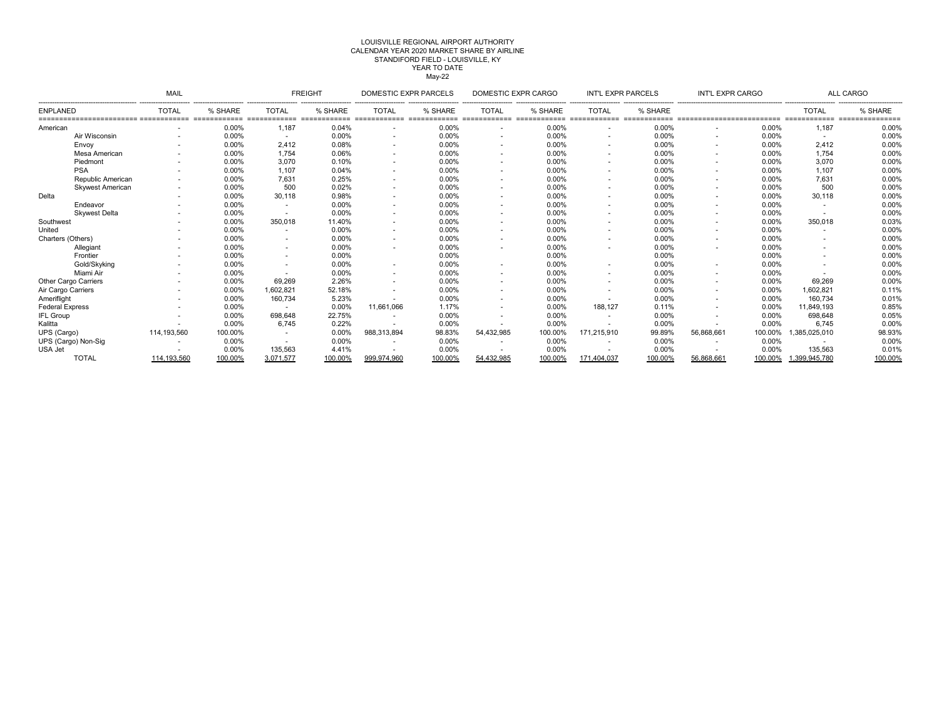# CALENDAR YEAR 2020 MARKET SHARE BY AIRLINE LOUISVILLE REGIONAL AIRPORT AUTHORITYSTANDIFORD FIELD - LOUISVILLE, KY YEAR TO DATE  $May-22$

| MAIL                    |                          |               | <b>FREIGHT</b>                       |         | DOMESTIC EXPR PARCELS    |         | DOMESTIC EXPR CARGO      |         | <b>INT'L EXPR PARCELS</b> |         | INT'L EXPR CARGO |         | ALL CARGO     |         |
|-------------------------|--------------------------|---------------|--------------------------------------|---------|--------------------------|---------|--------------------------|---------|---------------------------|---------|------------------|---------|---------------|---------|
| <b>ENPLANED</b>         | <b>TOTAL</b>             | % SHARE       | <b>TOTAL</b>                         | % SHARE | <b>TOTAL</b>             | % SHARE | <b>TOTAL</b>             | % SHARE | <b>TOTAL</b>              | % SHARE |                  |         | <b>TOTAL</b>  | % SHARE |
| American                | $\overline{\phantom{a}}$ | ====<br>0.00% | ============= =============<br>1.187 | 0.04%   | ============= =====      | 0.00%   | $\overline{\phantom{a}}$ | 0.00%   |                           | 0.00%   |                  | 0.00%   | 1,187         | 0.00%   |
| Air Wisconsin           |                          | 0.00%         |                                      | 0.00%   |                          | 0.00%   |                          | 0.00%   |                           | 0.00%   |                  | 0.00%   |               | 0.00%   |
| Envoy                   | $\overline{\phantom{a}}$ | 0.00%         | 2,412                                | 0.08%   | <b>.</b>                 | 0.00%   | $\sim$                   | 0.00%   |                           | 0.00%   |                  | 0.00%   | 2,412         | 0.00%   |
| Mesa American           |                          | 0.00%         | 1.754                                | 0.06%   |                          | 0.00%   |                          | 0.00%   |                           | 0.00%   |                  | 0.00%   | 1,754         | 0.00%   |
| Piedmont                |                          | 0.00%         | 3.070                                | 0.10%   |                          | 0.00%   |                          | 0.00%   |                           | 0.00%   |                  | 0.00%   | 3,070         | 0.00%   |
| <b>PSA</b>              |                          | 0.00%         | 1.107                                | 0.04%   |                          | 0.00%   | . .                      | 0.00%   |                           | 0.00%   |                  | 0.00%   | 1,107         | 0.00%   |
| Republic American       |                          | 0.00%         | 7.631                                | 0.25%   |                          | 0.00%   | $\overline{\phantom{a}}$ | 0.00%   |                           | 0.00%   |                  | 0.00%   | 7,631         | 0.00%   |
| <b>Skywest American</b> |                          | 0.00%         | 500                                  | 0.02%   |                          | 0.00%   |                          | 0.00%   |                           | 0.00%   |                  | 0.00%   | 500           | 0.00%   |
| Delta                   |                          | 0.00%         | 30.118                               | 0.98%   |                          | 0.00%   |                          | 0.00%   |                           | 0.00%   |                  | 0.00%   | 30,118        | 0.00%   |
| Endeavor                |                          | 0.00%         |                                      | 0.00%   | <b>.</b>                 | 0.00%   |                          | 0.00%   |                           | 0.00%   |                  | 0.00%   |               | 0.00%   |
| <b>Skywest Delta</b>    |                          | 0.00%         |                                      | 0.00%   |                          | 0.00%   |                          | 0.00%   |                           | 0.00%   |                  | 0.00%   |               | 0.00%   |
| Southwest               |                          | 0.00%         | 350.018                              | 11.40%  | $\sim$                   | 0.00%   | $\sim$                   | 0.00%   |                           | 0.00%   |                  | 0.00%   | 350,018       | 0.03%   |
| United                  |                          | 0.00%         |                                      | 0.00%   |                          | 0.00%   |                          | 0.00%   |                           | 0.00%   |                  | 0.00%   |               | 0.00%   |
| Charters (Others)       |                          | 0.00%         |                                      | 0.00%   |                          | 0.00%   | $\sim$                   | 0.00%   |                           | 0.00%   |                  | 0.00%   |               | 0.00%   |
| Allegiant               |                          | 0.00%         |                                      | 0.00%   |                          | 0.00%   |                          | 0.00%   |                           | 0.00%   |                  | 0.00%   |               | 0.00%   |
| Frontier                |                          | 0.00%         |                                      | 0.00%   |                          | 0.00%   |                          | 0.00%   |                           | 0.00%   |                  | 0.00%   |               | 0.00%   |
| Gold/Skyking            |                          | 0.00%         |                                      | 0.00%   |                          | 0.00%   |                          | 0.00%   |                           | 0.00%   |                  | 0.00%   |               | 0.00%   |
| Miami Air               |                          | 0.00%         |                                      | 0.00%   |                          | 0.00%   |                          | 0.00%   |                           | 0.00%   |                  | 0.00%   |               | 0.00%   |
| Other Cargo Carriers    |                          | 0.00%         | 69,269                               | 2.26%   |                          | 0.00%   | . .                      | 0.00%   |                           | 0.00%   |                  | 0.00%   | 69,269        | 0.00%   |
| Air Cargo Carriers      |                          | 0.00%         | 1,602,821                            | 52.18%  |                          | 0.00%   |                          | 0.00%   |                           | 0.00%   |                  | 0.00%   | 1,602,821     | 0.11%   |
| Ameriflight             |                          | 0.00%         | 160,734                              | 5.23%   |                          | 0.00%   | $\sim$                   | 0.00%   |                           | 0.00%   |                  | 0.00%   | 160,734       | 0.01%   |
| <b>Federal Express</b>  |                          | 0.00%         |                                      | 0.00%   | 11,661,066               | 1.17%   |                          | 0.00%   | 188.127                   | 0.11%   |                  | 0.00%   | 11.849.193    | 0.85%   |
| <b>IFL Group</b>        |                          | 0.00%         | 698.648                              | 22.75%  | $\sim$                   | 0.00%   | . .                      | 0.00%   |                           | 0.00%   |                  | 0.00%   | 698,648       | 0.05%   |
| Kalitta                 |                          | 0.00%         | 6.745                                | 0.22%   |                          | 0.00%   |                          | 0.00%   |                           | 0.00%   |                  | 0.00%   | 6,745         | 0.00%   |
| UPS (Cargo)             | 114,193,560              | 100.00%       |                                      | 0.00%   | 988,313,894              | 98.83%  | 54,432,985               | 100.00% | 171.215.910               | 99.89%  | 56,868,661       | 100.00% | .385,025,010  | 98.93%  |
| UPS (Cargo) Non-Sig     | $\overline{\phantom{a}}$ | 0.00%         |                                      | 0.00%   | $\overline{\phantom{a}}$ | 0.00%   |                          | 0.00%   |                           | 0.00%   |                  | 0.00%   |               | 0.00%   |
| USA Jet                 |                          | 0.00%         | 135,563                              | 4.41%   |                          | 0.00%   |                          | 0.00%   |                           | 0.00%   |                  | 0.00%   | 135,563       | 0.01%   |
| <b>TOTAL</b>            | 114,193,560              | 100.00%       | 3.071.577                            | 100.00% | 999,974,960              | 100.00% | 54,432,985               | 100.00% | 171,404,037               | 100.00% | 56,868,661       | 100.00% | 1,399,945,780 | 100.00% |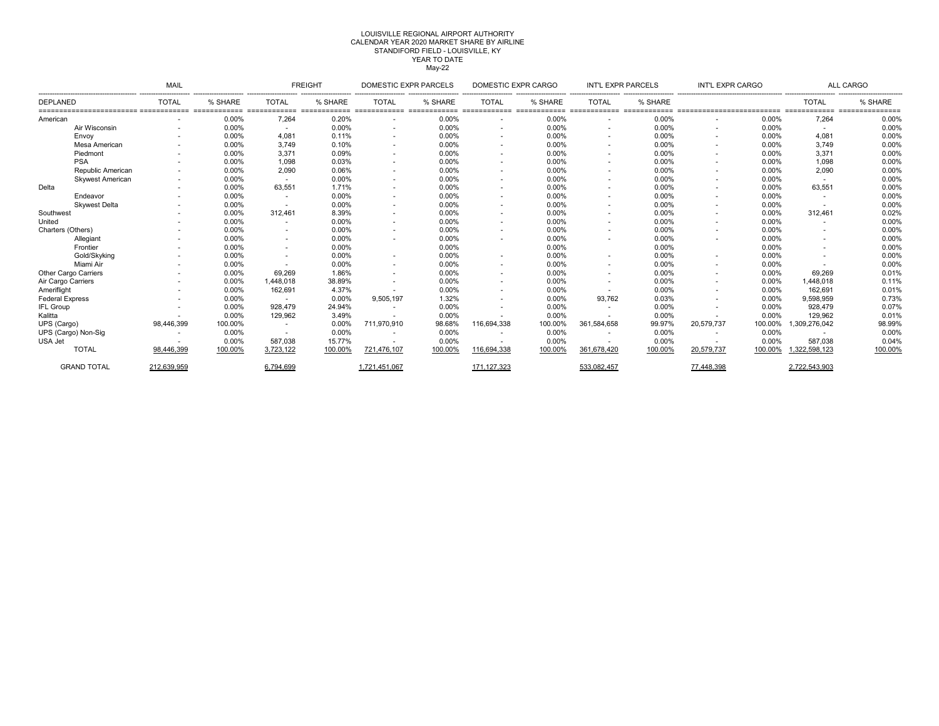#### LOUISVILLE REGIONAL AIRPORT AUTHORITY May-22 YEAR TO DATECALENDAR YEAR 2020 MARKET SHARE BY AIRLINE STANDIFORD FIELD - LOUISVILLE, KY

|                             | MAIL                     |         |              | <b>FREIGHT</b> |               | <b>DOMESTIC EXPR PARCELS</b> |                          | DOMESTIC EXPR CARGO |                          | INT'L EXPR PARCELS | INT'L EXPR CARGO |         | <b>ALL CARGO</b> |         |
|-----------------------------|--------------------------|---------|--------------|----------------|---------------|------------------------------|--------------------------|---------------------|--------------------------|--------------------|------------------|---------|------------------|---------|
| DEPLANED                    | <b>TOTAL</b>             | % SHARE | <b>TOTAL</b> | % SHARE        | <b>TOTAL</b>  | % SHARE                      | <b>TOTAL</b>             | % SHARE             | TOTAL                    | % SHARE            |                  |         | <b>TOTAL</b>     | % SHARE |
| American                    |                          | 0.00%   | 7,264        | 0.20%          |               | 0.00%                        | ٠                        | 0.00%               |                          | 0.00%              |                  | 0.00%   | 7,264            | 0.00%   |
| Air Wisconsin               |                          | 0.00%   |              | 0.00%          |               | 0.00%                        | ٠                        | 0.00%               |                          | 0.00%              |                  | 0.00%   | $\sim$           | 0.00%   |
| Envoy                       |                          | 0.00%   | 4.081        | 0.11%          |               | 0.00%                        | $\sim$                   | 0.00%               | $\overline{\phantom{a}}$ | 0.00%              |                  | 0.00%   | 4,081            | 0.00%   |
| Mesa American               |                          | 0.00%   | 3.749        | 0.10%          |               | 0.00%                        | $\overline{\phantom{a}}$ | 0.00%               |                          | 0.00%              |                  | 0.00%   | 3,749            | 0.00%   |
| Piedmont                    | $\overline{\phantom{a}}$ | 0.00%   | 3,371        | 0.09%          | ٠             | 0.00%                        | $\sim$                   | 0.00%               | ٠                        | 0.00%              |                  | 0.00%   | 3,371            | 0.00%   |
| <b>PSA</b>                  |                          | 0.00%   | 1.098        | 0.03%          |               | 0.00%                        | ٠                        | 0.00%               |                          | 0.00%              |                  | 0.00%   | 1,098            | 0.00%   |
| Republic American           |                          | 0.00%   | 2.090        | 0.06%          |               | 0.00%                        | $\overline{\phantom{a}}$ | 0.00%               |                          | 0.00%              |                  | 0.00%   | 2,090            | 0.00%   |
| <b>Skywest American</b>     |                          | 0.00%   |              | 0.00%          |               | 0.00%                        | $\sim$                   | 0.00%               |                          | 0.00%              |                  | 0.00%   | $\sim$           | 0.00%   |
| Delta                       |                          | 0.00%   | 63,551       | 1.71%          |               | 0.00%                        | ٠                        | 0.00%               |                          | 0.00%              |                  | 0.00%   | 63,551           | 0.00%   |
| Endeavor                    | $\sim$                   | 0.00%   | . .          | 0.00%          | ۰.            | 0.00%                        | ٠                        | 0.00%               | $\sim$                   | 0.00%              |                  | 0.00%   | <b>1999</b>      | 0.00%   |
| <b>Skwest Delta</b>         |                          | 0.00%   |              | 0.00%          |               | 0.00%                        | $\overline{\phantom{a}}$ | 0.00%               | $\overline{\phantom{a}}$ | 0.00%              |                  | 0.00%   |                  | 0.00%   |
| Southwest                   |                          | 0.00%   | 312.461      | 8.39%          |               | 0.00%                        | ٠                        | 0.00%               |                          | 0.00%              |                  | 0.00%   | 312,461          | 0.02%   |
| United                      |                          | 0.00%   |              | 0.00%          |               | 0.00%                        | $\sim$                   | 0.00%               | $\overline{\phantom{a}}$ | 0.00%              |                  | 0.00%   |                  | 0.00%   |
| Charters (Others)           |                          | 0.00%   |              | 0.00%          |               | 0.00%                        | $\overline{\phantom{a}}$ | 0.00%               |                          | 0.00%              |                  | 0.00%   |                  | 0.00%   |
| Allegiant                   |                          | 0.00%   |              | 0.00%          |               | 0.00%                        | ٠                        | 0.00%               |                          | 0.00%              |                  | 0.00%   | $\sim$           | 0.00%   |
| Frontier                    |                          | 0.00%   |              | 0.00%          |               | 0.00%                        |                          | 0.00%               |                          | 0.00%              |                  | 0.00%   |                  | 0.00%   |
| Gold/Skyking                |                          | 0.00%   |              | 0.00%          |               | 0.00%                        | ٠                        | 0.00%               |                          | 0.00%              |                  | 0.00%   |                  | 0.00%   |
| Miami Air                   |                          | 0.00%   |              | 0.00%          | ٠             | 0.00%                        | ٠                        | 0.00%               |                          | 0.00%              |                  | 0.00%   |                  | 0.00%   |
| <b>Other Cargo Carriers</b> |                          | 0.00%   | 69.269       | 1.86%          |               | 0.00%                        | ٠                        | 0.00%               |                          | 0.00%              |                  | 0.00%   | 69.269           | 0.01%   |
| Air Cargo Carriers          |                          | 0.00%   | 1,448,018    | 38.89%         |               | 0.00%                        | ٠                        | 0.00%               |                          | 0.00%              |                  | 0.00%   | 1,448,018        | 0.11%   |
| Amerifliaht                 |                          | 0.00%   | 162,691      | 4.37%          |               | 0.00%                        | $\overline{\phantom{a}}$ | 0.00%               |                          | 0.00%              |                  | 0.00%   | 162.691          | 0.01%   |
| <b>Federal Express</b>      |                          | 0.00%   |              | 0.00%          | 9,505,197     | 1.32%                        | $\overline{\phantom{a}}$ | 0.00%               | 93,762                   | 0.03%              |                  | 0.00%   | 9,598,959        | 0.73%   |
| <b>IFL Group</b>            |                          | 0.00%   | 928,479      | 24.94%         |               | 0.00%                        | $\overline{\phantom{a}}$ | 0.00%               | ٠                        | 0.00%              |                  | 0.00%   | 928,479          | 0.07%   |
| Kalitta                     |                          | 0.00%   | 129,962      | 3.49%          |               | 0.00%                        | ۰.                       | 0.00%               |                          | 0.00%              |                  | 0.00%   | 129,962          | 0.01%   |
| UPS (Cargo)                 | 98,446,399               | 100.00% |              | 0.00%          | 711,970,910   | 98.68%                       | 116,694,338              | 100.00%             | 361.584.658              | 99.97%             | 20,579,737       | 100.00% | 1,309,276,042    | 98.99%  |
| UPS (Cargo) Non-Sig         | $\overline{\phantom{a}}$ | 0.00%   |              | 0.00%          |               | 0.00%                        | $\overline{\phantom{a}}$ | 0.00%               |                          | 0.00%              |                  | 0.00%   |                  | 0.00%   |
| USA Jet                     |                          | 0.00%   | 587.038      | 15.77%         |               | 0.00%                        |                          | 0.00%               |                          | 0.00%              |                  | 0.00%   | 587.038          | 0.04%   |
| <b>TOTAL</b>                | 98,446,399               | 100.00% | 3.723.122    | 100.00%        | 721.476.107   | 100.00%                      | 116,694,338              | 100.00%             | 361.678.420              | 100.00%            | 20.579.737       | 100.00% | 1.322.598.123    | 100.00% |
| <b>GRAND TOTAL</b>          | 212,639,959              |         | 6,794,699    |                | 1.721.451.067 |                              | 171, 127, 323            |                     | 533,082,457              |                    | 77,448,398       |         | 2,722,543,903    |         |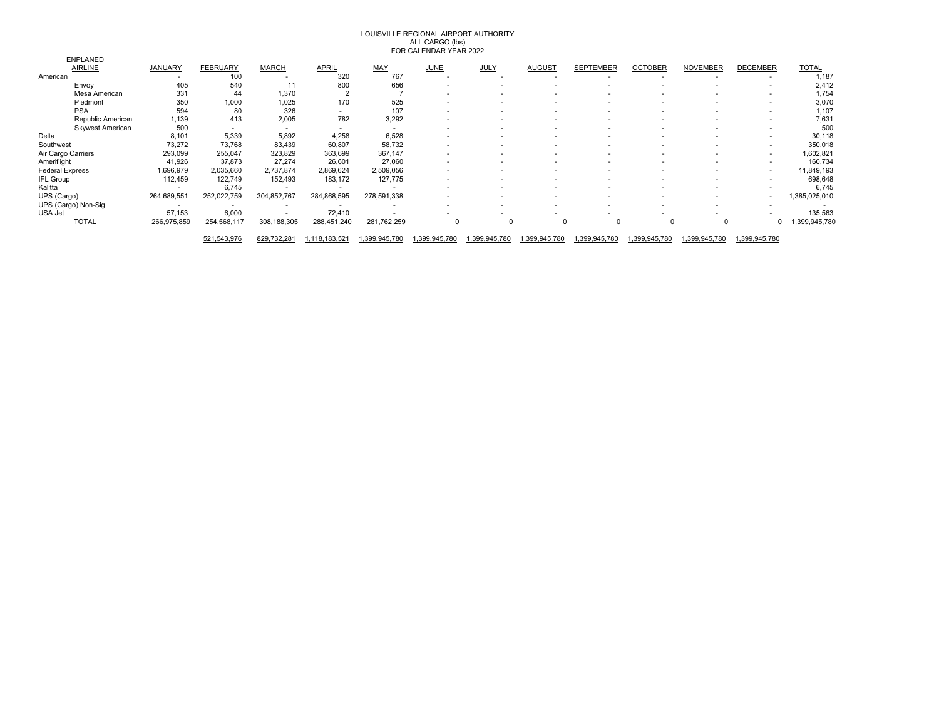# LOUISVILLE REGIONAL AIRPORT AUTHORITY ALL CARGO (lbs) FOR CALENDAR YEAR 2022

| <b>ENPLANED</b>         |                          |                          |                          |                          |                          |                          |                          |                          |                  |                |                 |                 |              |
|-------------------------|--------------------------|--------------------------|--------------------------|--------------------------|--------------------------|--------------------------|--------------------------|--------------------------|------------------|----------------|-----------------|-----------------|--------------|
| <b>AIRLINE</b>          | <b>JANUARY</b>           | <b>FEBRUARY</b>          | <b>MARCH</b>             | <b>APRIL</b>             | MAY                      | <b>JUNE</b>              | JULY                     | <b>AUGUST</b>            | <b>SEPTEMBER</b> | <b>OCTOBER</b> | <b>NOVEMBER</b> | <b>DECEMBER</b> | <b>TOTAL</b> |
| American                | $\overline{\phantom{a}}$ | 100                      |                          | 320                      | 767                      | $\overline{\phantom{a}}$ |                          |                          |                  |                |                 |                 | 1,187        |
| Envoy                   | 405                      | 540                      | 11                       | 800                      | 656                      | $\overline{\phantom{a}}$ |                          |                          |                  |                |                 |                 | 2,412        |
| Mesa American           | 331                      | 44                       | 1,370                    |                          |                          | ٠                        |                          | $\overline{\phantom{a}}$ |                  |                |                 |                 | 1,754        |
| Piedmont                | 350                      | 1,000                    | 1,025                    | 170                      | 525                      | $\overline{\phantom{a}}$ |                          |                          |                  |                |                 | . .             | 3,070        |
| <b>PSA</b>              | 594                      | 80                       | 326                      | $\overline{\phantom{a}}$ | 107                      | $\overline{\phantom{a}}$ |                          |                          |                  |                |                 |                 | 1,107        |
| Republic American       | 1,139                    | 413                      | 2,005                    | 782                      | 3,292                    | $\overline{\phantom{a}}$ |                          | $\overline{\phantom{a}}$ |                  |                |                 |                 | 7,631        |
| <b>Skywest American</b> | 500                      | $\overline{\phantom{a}}$ | $\sim$                   | $\overline{\phantom{a}}$ | $\overline{\phantom{a}}$ | $\overline{\phantom{a}}$ |                          |                          |                  |                |                 |                 | 500          |
| Delta                   | 8,101                    | 5,339                    | 5,892                    | 4,258                    | 6,528                    | ٠                        |                          |                          |                  |                |                 |                 | 30,118       |
| Southwest               | 73,272                   | 73,768                   | 83,439                   | 60,807                   | 58,732                   | $\overline{\phantom{a}}$ |                          |                          |                  |                |                 | . .             | 350,018      |
| Air Cargo Carriers      | 293,099                  | 255,047                  | 323,829                  | 363,699                  | 367,147                  | $\overline{\phantom{a}}$ |                          | $\overline{\phantom{a}}$ |                  |                |                 | . .             | 1,602,821    |
| Ameriflight             | 41,926                   | 37,873                   | 27,274                   | 26,601                   | 27,060                   | $\overline{\phantom{a}}$ |                          |                          |                  |                |                 |                 | 160,734      |
| <b>Federal Express</b>  | 1,696,979                | 2,035,660                | 2,737,874                | 2,869,624                | 2,509,056                | $\overline{\phantom{a}}$ |                          | $\overline{\phantom{a}}$ |                  |                |                 | . .             | 11,849,193   |
| <b>IFL Group</b>        | 112,459                  | 122,749                  | 152,493                  | 183,172                  | 127,775                  |                          |                          |                          |                  |                |                 |                 | 698,648      |
| Kalitta                 |                          | 6,745                    | $\overline{\phantom{a}}$ | $\overline{\phantom{a}}$ |                          |                          |                          |                          |                  |                |                 |                 | 6,745        |
| UPS (Cargo)             | 264,689,551              | 252,022,759              | 304,852,767              | 284,868,595              | 278,591,338              | $\overline{\phantom{a}}$ | $\overline{\phantom{a}}$ |                          |                  |                |                 | . .             | ,385,025,010 |
| UPS (Cargo) Non-Sig     |                          |                          | $\sim$                   |                          |                          |                          |                          |                          |                  |                |                 |                 |              |
| USA Jet                 | 57,153                   | 6,000                    | $\overline{\phantom{a}}$ | 72,410                   |                          |                          |                          |                          |                  |                |                 |                 | 135,563      |
| <b>TOTAL</b>            | 266,975,859              | 254,568,117              | 308, 188, 305            | 288,451,240              | 281,762,259              |                          |                          |                          | <u>0</u>         |                | $\overline{0}$  |                 | ,399,945,780 |
|                         |                          | 521,543,976              | 829,732,281              | 1,118,183,521            | ,399,945,780             | 399,945,780              | .399,945,780             | .399,945,780             | 399,945,780      | 1,399,945,780  | 399,945,780     | 1,399,945,780   |              |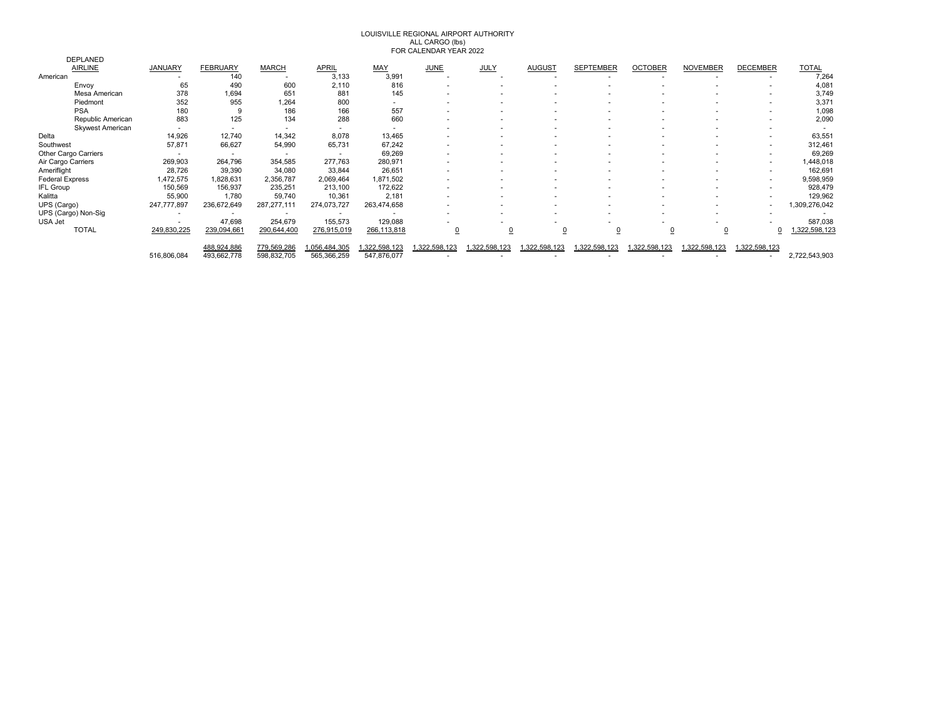# LOUISVILLE REGIONAL AIRPORT AUTHORITY ALL CARGO (lbs) FOR CALENDAR YEAR 2022

|                         |                          |                 |                          |                          | .            |                          |              |                          |                  |                |                 |                 |               |
|-------------------------|--------------------------|-----------------|--------------------------|--------------------------|--------------|--------------------------|--------------|--------------------------|------------------|----------------|-----------------|-----------------|---------------|
| <b>DEPLANED</b>         |                          |                 |                          |                          |              |                          |              |                          |                  |                |                 |                 |               |
| <b>AIRLINE</b>          | <b>JANUARY</b>           | <b>FEBRUARY</b> | <b>MARCH</b>             | <b>APRIL</b>             | MAY          | <b>JUNE</b>              | <b>JULY</b>  | <b>AUGUST</b>            | <b>SEPTEMBER</b> | <b>OCTOBER</b> | <b>NOVEMBER</b> | <b>DECEMBER</b> | <b>TOTAL</b>  |
| American                |                          | 140             |                          | 3,133                    | 3,991        | $\overline{\phantom{a}}$ |              |                          |                  |                |                 |                 | 7,264         |
| Envoy                   | 65                       | 490             | 600                      | 2,110                    | 816          | ٠                        |              |                          |                  |                |                 |                 | 4,081         |
| Mesa American           | 378                      | 1,694           | 651                      | 881                      | 145          | $\overline{\phantom{a}}$ |              |                          |                  |                |                 |                 | 3,749         |
| Piedmont                | 352                      | 955             | 1,264                    | 800                      |              |                          |              |                          |                  |                |                 |                 | 3,37'         |
| <b>PSA</b>              | 180                      |                 | 186                      | 166                      | 557          |                          |              |                          |                  |                |                 |                 | 1,098         |
| Republic American       | 883                      | 125             | 134                      | 288                      | 660          | ٠                        |              | $\overline{\phantom{a}}$ |                  |                |                 |                 | 2,090         |
| <b>Skywest American</b> |                          |                 | $\overline{\phantom{a}}$ | $\overline{\phantom{a}}$ |              |                          |              |                          |                  |                |                 |                 |               |
| Delta                   | 14,926                   | 12,740          | 14,342                   | 8,078                    | 13,465       | ٠                        |              | $\overline{\phantom{a}}$ |                  |                |                 |                 | 63,551        |
| Southwest               | 57,871                   | 66,627          | 54,990                   | 65,731                   | 67,242       |                          |              |                          |                  |                |                 |                 | 312,461       |
| Other Cargo Carriers    |                          |                 |                          | $\overline{\phantom{a}}$ | 69,269       | ٠                        |              |                          |                  |                |                 |                 | 69,269        |
| Air Cargo Carriers      | 269,903                  | 264,796         | 354,585                  | 277,763                  | 280,971      |                          |              |                          |                  |                |                 |                 | ,448,018      |
| Ameriflight             | 28,726                   | 39,390          | 34,080                   | 33,844                   | 26,651       | $\overline{\phantom{a}}$ |              |                          |                  |                |                 |                 | 162,691       |
| <b>Federal Express</b>  | 1,472,575                | 1,828,631       | 2,356,787                | 2,069,464                | 1,871,502    |                          |              |                          |                  |                |                 |                 | 9,598,959     |
| <b>IFL Group</b>        | 150,569                  | 156,937         | 235,251                  | 213,100                  | 172,622      |                          |              |                          |                  |                |                 |                 | 928,479       |
| Kalitta                 | 55,900                   | 1,780           | 59,740                   | 10,361                   | 2,181        |                          |              |                          |                  |                |                 |                 | 129,962       |
| UPS (Cargo)             | 247,777,897              | 236,672,649     | 287, 277, 111            | 274,073,727              | 263,474,658  |                          |              |                          |                  |                |                 |                 | ,309,276,042  |
| UPS (Cargo) Non-Sig     | $\overline{\phantom{a}}$ |                 | $\overline{\phantom{a}}$ | $\overline{\phantom{a}}$ |              |                          |              | $\overline{\phantom{a}}$ |                  |                |                 |                 |               |
| USA Jet                 |                          | 47,698          | 254,679                  | 155,573                  | 129,088      |                          |              |                          |                  |                |                 |                 | 587,038       |
| <b>TOTAL</b>            | 249,830,225              | 239,094,661     | 290,644,400              | 276,915,019              | 266,113,818  |                          |              |                          | 0                |                | 0               |                 | 1,322,598,123 |
|                         |                          |                 |                          |                          |              |                          |              |                          |                  |                |                 |                 |               |
|                         |                          | 488,924,886     | 779,569,286              | ,056,484,305             | ,322,598,123 | 322,598,123              | ,322,598,123 | .322,598,123             | ,322,598,123     | ,322,598,123   | 322,598,123     | 1,322,598,123   |               |
|                         | 516,806,084              | 493,662,778     | 598,832,705              | 565,366,259              | 547,876,077  |                          |              |                          |                  |                |                 |                 | 2,722,543,903 |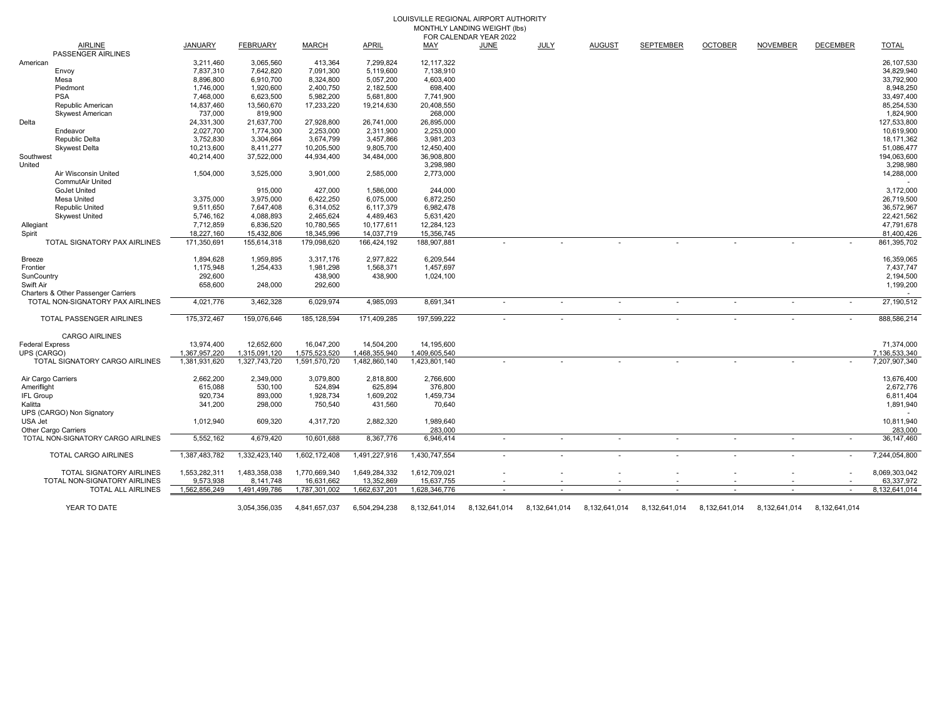### LOUISVILLE REGIONAL AIRPORT AUTHORITY MONTHLY LANDING WEIGHT (lbs) FOR CALENDAR YEAR 2022

|                        |                                             |                |                 |               |               | 1 VII VALLIIV | <b>ILAIS 4944</b> |               |                          |                          |                          |                 |                 |               |
|------------------------|---------------------------------------------|----------------|-----------------|---------------|---------------|---------------|-------------------|---------------|--------------------------|--------------------------|--------------------------|-----------------|-----------------|---------------|
|                        | <b>AIRLINE</b><br><b>PASSENGER AIRLINES</b> | <b>JANUARY</b> | <b>FEBRUARY</b> | <b>MARCH</b>  | <b>APRIL</b>  | MAY           | JUNE              | <b>JULY</b>   | <b>AUGUST</b>            | <b>SEPTEMBER</b>         | <b>OCTOBER</b>           | <b>NOVEMBER</b> | <b>DECEMBER</b> | <b>TOTAL</b>  |
| American               |                                             | 3,211,460      | 3,065,560       | 413,364       | 7,299,824     | 12,117,322    |                   |               |                          |                          |                          |                 |                 | 26,107,530    |
|                        | Envoy                                       | 7,837,310      | 7,642,820       | 7,091,300     | 5,119,600     | 7,138,910     |                   |               |                          |                          |                          |                 |                 | 34,829,940    |
|                        | Mesa                                        | 8,896,800      | 6,910,700       | 8,324,800     | 5,057,200     | 4,603,400     |                   |               |                          |                          |                          |                 |                 | 33,792,900    |
|                        | Piedmont                                    | 1,746,000      | 1,920,600       | 2,400,750     | 2,182,500     | 698,400       |                   |               |                          |                          |                          |                 |                 | 8,948,250     |
|                        | <b>PSA</b>                                  | 7,468,000      | 6,623,500       | 5,982,200     | 5,681,800     | 7,741,900     |                   |               |                          |                          |                          |                 |                 | 33,497,400    |
|                        | Republic American                           | 14,837,460     | 13,560,670      | 17,233,220    | 19,214,630    | 20,408,550    |                   |               |                          |                          |                          |                 |                 | 85,254,530    |
|                        | <b>Skywest American</b>                     | 737,000        | 819,900         |               |               | 268,000       |                   |               |                          |                          |                          |                 |                 | 1,824,900     |
| Delta                  |                                             | 24,331,300     | 21,637,700      | 27,928,800    | 26,741,000    | 26,895,000    |                   |               |                          |                          |                          |                 |                 | 127,533,800   |
|                        | Endeavor                                    | 2,027,700      | 1.774.300       | 2,253,000     | 2,311,900     | 2,253,000     |                   |               |                          |                          |                          |                 |                 | 10,619,900    |
|                        | Republic Delta                              | 3,752,830      | 3,304,664       | 3,674,799     | 3,457,866     | 3,981,203     |                   |               |                          |                          |                          |                 |                 | 18,171,362    |
|                        | <b>Skywest Delta</b>                        | 10,213,600     | 8,411,277       | 10,205,500    | 9,805,700     | 12,450,400    |                   |               |                          |                          |                          |                 |                 | 51,086,477    |
| Southwest              |                                             | 40,214,400     | 37,522,000      | 44,934,400    | 34,484,000    | 36,908,800    |                   |               |                          |                          |                          |                 |                 | 194,063,600   |
| United                 |                                             |                |                 |               |               | 3,298,980     |                   |               |                          |                          |                          |                 |                 | 3,298,980     |
|                        | Air Wisconsin United                        | 1,504,000      | 3,525,000       | 3,901,000     | 2,585,000     | 2,773,000     |                   |               |                          |                          |                          |                 |                 | 14,288,000    |
|                        | <b>CommutAir United</b>                     |                |                 |               |               |               |                   |               |                          |                          |                          |                 |                 |               |
|                        |                                             |                |                 |               |               |               |                   |               |                          |                          |                          |                 |                 |               |
|                        | GoJet United                                |                | 915,000         | 427,000       | 1,586,000     | 244,000       |                   |               |                          |                          |                          |                 |                 | 3,172,000     |
|                        | Mesa United                                 | 3,375,000      | 3,975,000       | 6,422,250     | 6,075,000     | 6,872,250     |                   |               |                          |                          |                          |                 |                 | 26,719,500    |
|                        | Republic United                             | 9,511,650      | 7,647,408       | 6,314,052     | 6,117,379     | 6,982,478     |                   |               |                          |                          |                          |                 |                 | 36,572,967    |
|                        | <b>Skywest United</b>                       | 5,746,162      | 4,088,893       | 2,465,624     | 4,489,463     | 5,631,420     |                   |               |                          |                          |                          |                 |                 | 22,421,562    |
| Allegiant              |                                             | 7,712,859      | 6,836,520       | 10,780,565    | 10,177,611    | 12,284,123    |                   |               |                          |                          |                          |                 |                 | 47,791,678    |
| Spirit                 |                                             | 18,227,160     | 15,432,806      | 18,345,996    | 14,037,719    | 15,356,745    |                   |               |                          |                          |                          |                 |                 | 81,400,426    |
|                        | TOTAL SIGNATORY PAX AIRLINES                | 171,350,691    | 155,614,318     | 179,098,620   | 166,424,192   | 188,907,881   |                   |               |                          |                          |                          |                 | $\sim$          | 861,395,702   |
| Breeze                 |                                             | 1,894,628      | 1,959,895       | 3,317,176     | 2,977,822     | 6,209,544     |                   |               |                          |                          |                          |                 |                 | 16,359,065    |
| Frontier               |                                             | 1,175,948      | 1,254,433       | 1,981,298     | 1,568,371     | 1,457,697     |                   |               |                          |                          |                          |                 |                 | 7,437,747     |
| SunCountry             |                                             | 292,600        |                 | 438,900       | 438,900       | 1,024,100     |                   |               |                          |                          |                          |                 |                 | 2,194,500     |
| Swift Air              |                                             | 658,600        | 248,000         | 292,600       |               |               |                   |               |                          |                          |                          |                 |                 | 1,199,200     |
|                        | Charters & Other Passenger Carriers         |                |                 |               |               |               |                   |               |                          |                          |                          |                 |                 |               |
|                        | TOTAL NON-SIGNATORY PAX AIRLINES            | 4,021,776      | 3,462,328       | 6,029,974     | 4,985,093     | 8,691,341     |                   |               |                          | ٠                        | $\mathbf{r}$             |                 | $\sim$          | 27,190,512    |
|                        |                                             |                |                 |               |               |               |                   |               |                          |                          |                          |                 |                 |               |
|                        | TOTAL PASSENGER AIRLINES                    | 175,372,467    | 159,076,646     | 185, 128, 594 | 171,409,285   | 197,599,222   |                   |               |                          |                          |                          |                 |                 | 888,586,214   |
|                        | <b>CARGO AIRLINES</b>                       |                |                 |               |               |               |                   |               |                          |                          |                          |                 |                 |               |
| <b>Federal Express</b> |                                             | 13,974,400     | 12,652,600      | 16,047,200    | 14,504,200    | 14,195,600    |                   |               |                          |                          |                          |                 |                 | 71,374,000    |
| UPS (CARGO)            |                                             | 1.367.957.220  | 1.315.091.120   | 1.575.523.520 | 1.468.355.940 | 1.409.605.540 |                   |               |                          |                          |                          |                 |                 | 7,136,533,340 |
|                        | TOTAL SIGNATORY CARGO AIRLINES              | 1,381,931,620  | 1,327,743,720   | 1,591,570,720 | 1,482,860,140 | 1,423,801,140 |                   |               |                          |                          |                          |                 |                 | 7,207,907,340 |
|                        |                                             |                |                 |               |               |               |                   |               |                          |                          |                          |                 |                 |               |
| Air Cargo Carriers     |                                             | 2,662,200      | 2,349,000       | 3,079,800     | 2,818,800     | 2,766,600     |                   |               |                          |                          |                          |                 |                 | 13,676,400    |
| Ameriflight            |                                             | 615,088        | 530,100         | 524,894       | 625,894       | 376,800       |                   |               |                          |                          |                          |                 |                 | 2,672,776     |
| <b>IFL Group</b>       |                                             | 920,734        | 893.000         | 1,928,734     | 1,609,202     | 1,459,734     |                   |               |                          |                          |                          |                 |                 | 6,811,404     |
| Kalitta                |                                             | 341,200        | 298,000         | 750,540       | 431,560       | 70,640        |                   |               |                          |                          |                          |                 |                 | 1,891,940     |
|                        | UPS (CARGO) Non Signatory                   |                |                 |               |               |               |                   |               |                          |                          |                          |                 |                 |               |
|                        |                                             |                |                 |               |               |               |                   |               |                          |                          |                          |                 |                 |               |
| USA Jet                |                                             | 1,012,940      | 609,320         | 4,317,720     | 2,882,320     | 1,989,640     |                   |               |                          |                          |                          |                 |                 | 10,811,940    |
|                        | Other Cargo Carriers                        |                |                 |               |               | 283,000       |                   |               |                          |                          |                          |                 |                 | 283,000       |
|                        | TOTAL NON-SIGNATORY CARGO AIRLINES          | 5,552,162      | 4,679,420       | 10,601,688    | 8,367,776     | 6,946,414     |                   |               | $\overline{\phantom{a}}$ | $\overline{\phantom{a}}$ | $\overline{\phantom{a}}$ |                 | $\sim$          | 36,147,460    |
|                        | <b>TOTAL CARGO AIRLINES</b>                 | 1,387,483,782  | 1,332,423,140   | 1,602,172,408 | 1,491,227,916 | 1,430,747,554 |                   |               |                          |                          | ٠                        |                 |                 | 7,244,054,800 |
|                        | TOTAL SIGNATORY AIRLINES                    | 1,553,282,311  | 1,483,358,038   | 1,770,669,340 | 1,649,284,332 | 1,612,709,021 |                   |               |                          |                          |                          |                 |                 | 8,069,303,042 |
|                        | TOTAL NON-SIGNATORY AIRLINES                | 9,573,938      | 8,141,748       | 16,631,662    | 13,352,869    | 15,637,755    |                   |               |                          |                          |                          |                 |                 | 63,337,972    |
|                        |                                             |                |                 |               |               |               |                   |               |                          |                          |                          |                 |                 |               |
|                        | <b>TOTAL ALL AIRLINES</b>                   | 1,562,856,249  | 1,491,499,786   | 1,787,301,002 | 1,662,637,201 | 1,628,346,776 |                   |               | $\sim$                   | $\sim$                   | $\sim$                   | $\sim$          | $\sim$          | 8,132,641,014 |
|                        | YEAR TO DATE                                |                | 3,054,356,035   | 4,841,657,037 | 6,504,294,238 | 8,132,641,014 | 8,132,641,014     | 8,132,641,014 | 8,132,641,014            | 8,132,641,014            | 8,132,641,014            | 8,132,641,014   | 8,132,641,014   |               |